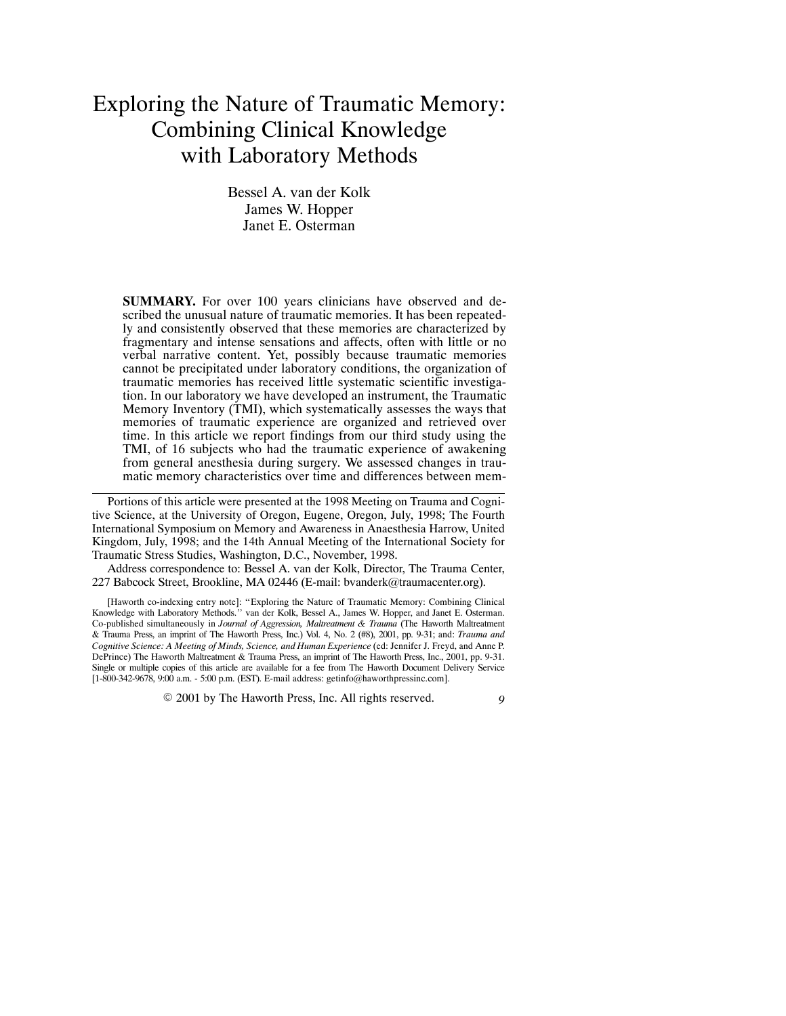# Exploring the Nature of Traumatic Memory: Combining Clinical Knowledge with Laboratory Methods

Bessel A. van der Kolk James W. Hopper Janet E. Osterman

**SUMMARY.** For over 100 years clinicians have observed and described the unusual nature of traumatic memories. It has been repeatedly and consistently observed that these memories are characterized by fragmentary and intense sensations and affects, often with little or no verbal narrative content. Yet, possibly because traumatic memories cannot be precipitated under laboratory conditions, the organization of traumatic memories has received little systematic scientific investigation. In our laboratory we have developed an instrument, the Traumatic Memory Inventory (TMI), which systematically assesses the ways that memories of traumatic experience are organized and retrieved over time. In this article we report findings from our third study using the TMI, of 16 subjects who had the traumatic experience of awakening from general anesthesia during surgery. We assessed changes in traumatic memory characteristics over time and differences between mem-

Portions of this article were presented at the 1998 Meeting on Trauma and Cognitive Science, at the University of Oregon, Eugene, Oregon, July, 1998; The Fourth International Symposium on Memory and Awareness in Anaesthesia Harrow, United Kingdom, July, 1998; and the 14th Annual Meeting of the International Society for Traumatic Stress Studies, Washington, D.C., November, 1998.

Address correspondence to: Bessel A. van der Kolk, Director, The Trauma Center, 227 Babcock Street, Brookline, MA 02446 (E-mail: bvanderk@traumacenter.org).

[Haworth co-indexing entry note]: ''Exploring the Nature of Traumatic Memory: Combining Clinical Knowledge with Laboratory Methods.'' van der Kolk, Bessel A., James W. Hopper, and Janet E. Osterman. Co-published simultaneously in *Journal of Aggression, Maltreatment & Trauma* (The Haworth Maltreatment & Trauma Press, an imprint of The Haworth Press, Inc.) Vol. 4, No. 2 (#8), 2001, pp. 9-31; and: *Trauma and Cognitive Science: A Meeting of Minds, Science, and Human Experience* (ed: Jennifer J. Freyd, and Anne P. DePrince) The Haworth Maltreatment & Trauma Press, an imprint of The Haworth Press, Inc., 2001, pp. 9-31. Single or multiple copies of this article are available for a fee from The Haworth Document Delivery Service [1-800-342-9678, 9:00 a.m. - 5:00 p.m. (EST). E-mail address: getinfo@haworthpressinc.com].

E 2001 by The Haworth Press, Inc. All rights reserved. *9*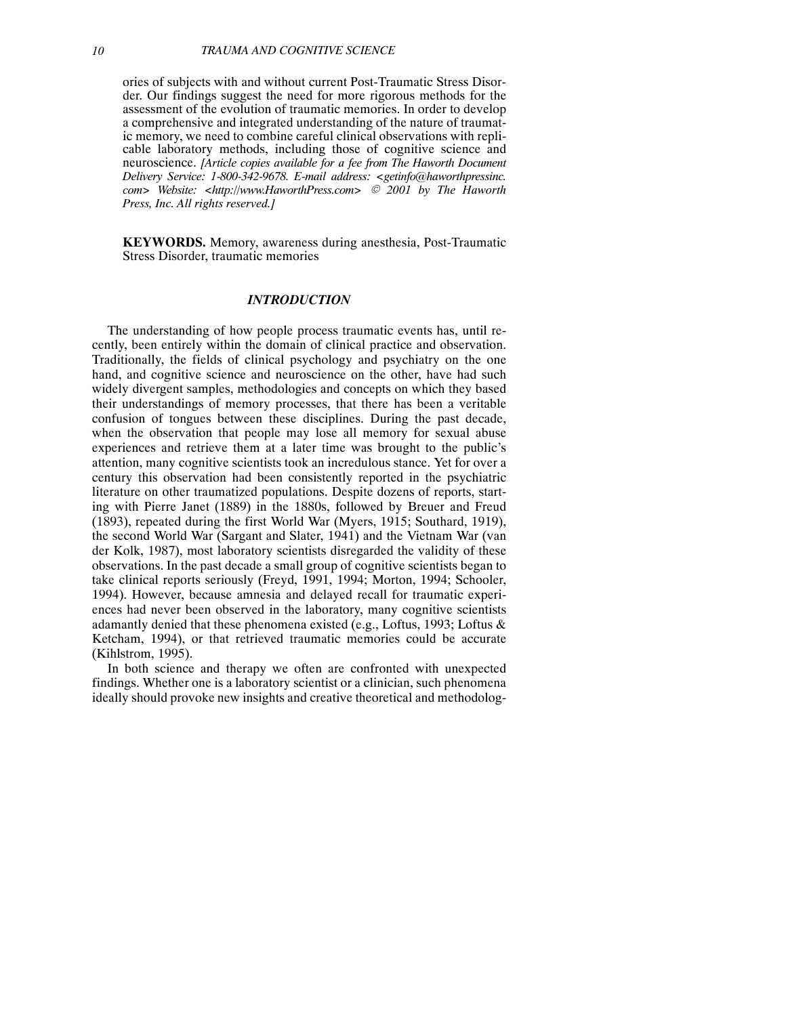ories of subjects with and without current Post-Traumatic Stress Disorder. Our findings suggest the need for more rigorous methods for the assessment of the evolution of traumatic memories. In order to develop a comprehensive and integrated understanding of the nature of traumatic memory, we need to combine careful clinical observations with replicable laboratory methods, including those of cognitive science and neuroscience. *[Article copies available for a fee from The Haworth Document Delivery Service: 1-800-342-9678. E-mail address: <getinfo@haworthpressinc. com> Website: <http://www.HaworthPress.com> © 2001 by The Haworth Press, Inc. All rights reserved.]*

**KEYWORDS.** Memory, awareness during anesthesia, Post-Traumatic Stress Disorder, traumatic memories

### *INTRODUCTION*

The understanding of how people process traumatic events has, until recently, been entirely within the domain of clinical practice and observation. Traditionally, the fields of clinical psychology and psychiatry on the one hand, and cognitive science and neuroscience on the other, have had such widely divergent samples, methodologies and concepts on which they based their understandings of memory processes, that there has been a veritable confusion of tongues between these disciplines. During the past decade, when the observation that people may lose all memory for sexual abuse experiences and retrieve them at a later time was brought to the public's attention, many cognitive scientists took an incredulous stance. Yet for over a century this observation had been consistently reported in the psychiatric literature on other traumatized populations. Despite dozens of reports, starting with Pierre Janet (1889) in the 1880s, followed by Breuer and Freud (1893), repeated during the first World War (Myers, 1915; Southard, 1919), the second World War (Sargant and Slater, 1941) and the Vietnam War (van der Kolk, 1987), most laboratory scientists disregarded the validity of these observations. In the past decade a small group of cognitive scientists began to take clinical reports seriously (Freyd, 1991, 1994; Morton, 1994; Schooler, 1994). However, because amnesia and delayed recall for traumatic experiences had never been observed in the laboratory, many cognitive scientists adamantly denied that these phenomena existed (e.g., Loftus, 1993; Loftus & Ketcham, 1994), or that retrieved traumatic memories could be accurate (Kihlstrom, 1995).

In both science and therapy we often are confronted with unexpected findings. Whether one is a laboratory scientist or a clinician, such phenomena ideally should provoke new insights and creative theoretical and methodolog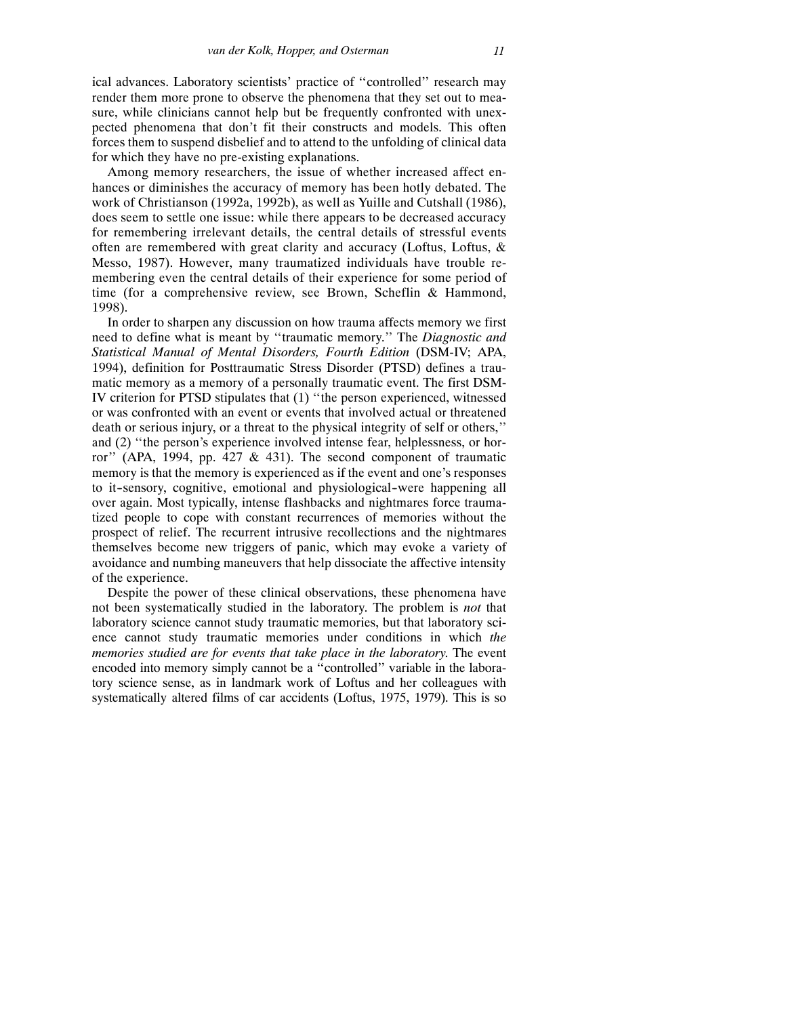ical advances. Laboratory scientists' practice of ''controlled'' research may render them more prone to observe the phenomena that they set out to measure, while clinicians cannot help but be frequently confronted with unexpected phenomena that don't fit their constructs and models. This often forces them to suspend disbelief and to attend to the unfolding of clinical data for which they have no pre-existing explanations.

Among memory researchers, the issue of whether increased affect enhances or diminishes the accuracy of memory has been hotly debated. The work of Christianson (1992a, 1992b), as well as Yuille and Cutshall (1986), does seem to settle one issue: while there appears to be decreased accuracy for remembering irrelevant details, the central details of stressful events often are remembered with great clarity and accuracy (Loftus, Loftus, & Messo, 1987). However, many traumatized individuals have trouble remembering even the central details of their experience for some period of time (for a comprehensive review, see Brown, Scheflin & Hammond, 1998).

In order to sharpen any discussion on how trauma affects memory we first need to define what is meant by ''traumatic memory.'' The *Diagnostic and Statistical Manual of Mental Disorders, Fourth Edition* (DSM-IV; APA, 1994), definition for Posttraumatic Stress Disorder (PTSD) defines a traumatic memory as a memory of a personally traumatic event. The first DSM-IV criterion for PTSD stipulates that (1) ''the person experienced, witnessed or was confronted with an event or events that involved actual or threatened death or serious injury, or a threat to the physical integrity of self or others,'' and (2) ''the person's experience involved intense fear, helplessness, or horror'' (APA, 1994, pp. 427 & 431). The second component of traumatic memory is that the memory is experienced as if the event and one's responses to it-sensory, cognitive, emotional and physiological-were happening all over again. Most typically, intense flashbacks and nightmares force traumatized people to cope with constant recurrences of memories without the prospect of relief. The recurrent intrusive recollections and the nightmares themselves become new triggers of panic, which may evoke a variety of avoidance and numbing maneuvers that help dissociate the affective intensity of the experience.

Despite the power of these clinical observations, these phenomena have not been systematically studied in the laboratory. The problem is *not* that laboratory science cannot study traumatic memories, but that laboratory science cannot study traumatic memories under conditions in which *the memories studied are for events that take place in the laboratory*. The event encoded into memory simply cannot be a ''controlled'' variable in the laboratory science sense, as in landmark work of Loftus and her colleagues with systematically altered films of car accidents (Loftus, 1975, 1979). This is so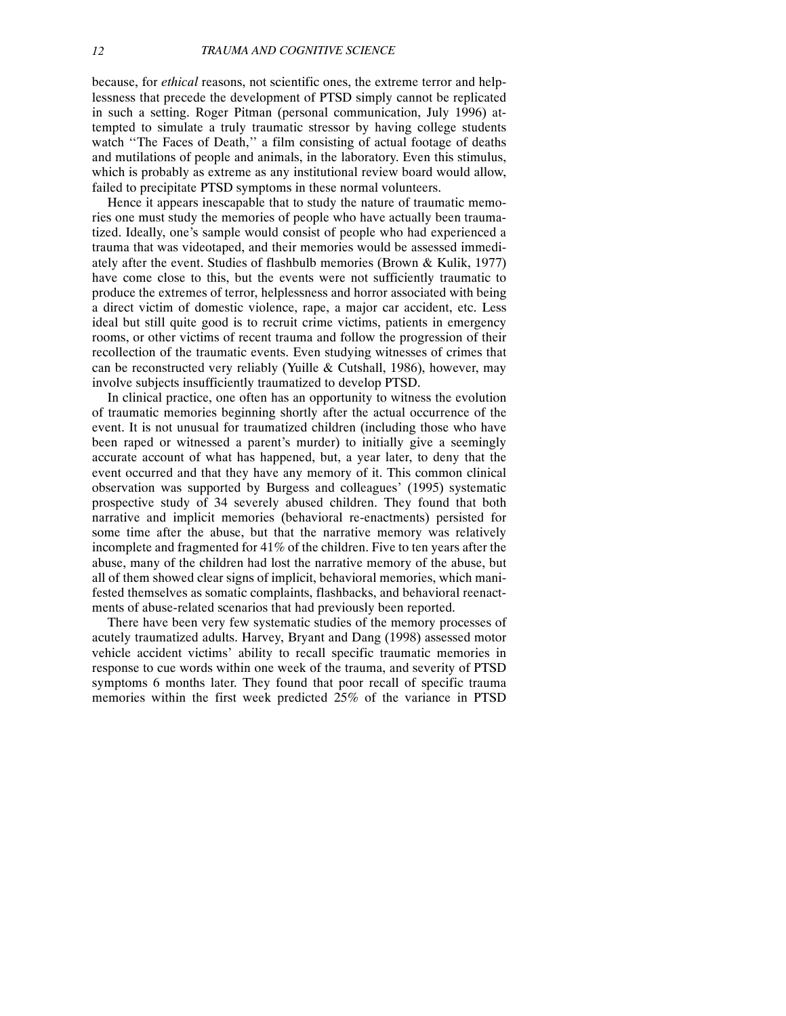because, for *ethical* reasons, not scientific ones, the extreme terror and helplessness that precede the development of PTSD simply cannot be replicated in such a setting. Roger Pitman (personal communication, July 1996) attempted to simulate a truly traumatic stressor by having college students watch "The Faces of Death," a film consisting of actual footage of deaths and mutilations of people and animals, in the laboratory. Even this stimulus, which is probably as extreme as any institutional review board would allow, failed to precipitate PTSD symptoms in these normal volunteers.

Hence it appears inescapable that to study the nature of traumatic memories one must study the memories of people who have actually been traumatized. Ideally, one's sample would consist of people who had experienced a trauma that was videotaped, and their memories would be assessed immediately after the event. Studies of flashbulb memories (Brown & Kulik, 1977) have come close to this, but the events were not sufficiently traumatic to produce the extremes of terror, helplessness and horror associated with being a direct victim of domestic violence, rape, a major car accident, etc. Less ideal but still quite good is to recruit crime victims, patients in emergency rooms, or other victims of recent trauma and follow the progression of their recollection of the traumatic events. Even studying witnesses of crimes that can be reconstructed very reliably (Yuille & Cutshall, 1986), however, may involve subjects insufficiently traumatized to develop PTSD.

In clinical practice, one often has an opportunity to witness the evolution of traumatic memories beginning shortly after the actual occurrence of the event. It is not unusual for traumatized children (including those who have been raped or witnessed a parent's murder) to initially give a seemingly accurate account of what has happened, but, a year later, to deny that the event occurred and that they have any memory of it. This common clinical observation was supported by Burgess and colleagues' (1995) systematic prospective study of 34 severely abused children. They found that both narrative and implicit memories (behavioral re-enactments) persisted for some time after the abuse, but that the narrative memory was relatively incomplete and fragmented for 41% of the children. Five to ten years after the abuse, many of the children had lost the narrative memory of the abuse, but all of them showed clear signs of implicit, behavioral memories, which manifested themselves as somatic complaints, flashbacks, and behavioral reenactments of abuse-related scenarios that had previously been reported.

There have been very few systematic studies of the memory processes of acutely traumatized adults. Harvey, Bryant and Dang (1998) assessed motor vehicle accident victims' ability to recall specific traumatic memories in response to cue words within one week of the trauma, and severity of PTSD symptoms 6 months later. They found that poor recall of specific trauma memories within the first week predicted 25% of the variance in PTSD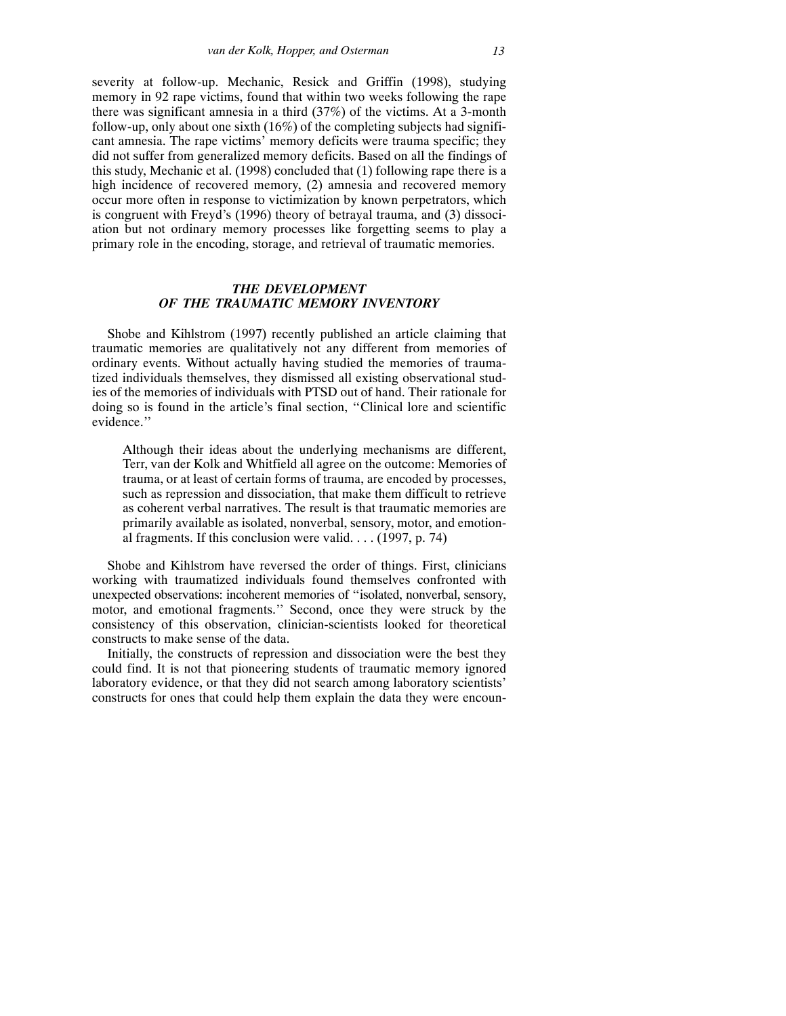severity at follow-up. Mechanic, Resick and Griffin (1998), studying memory in 92 rape victims, found that within two weeks following the rape there was significant amnesia in a third (37%) of the victims. At a 3-month follow-up, only about one sixth (16%) of the completing subjects had significant amnesia. The rape victims' memory deficits were trauma specific; they did not suffer from generalized memory deficits. Based on all the findings of this study, Mechanic et al. (1998) concluded that (1) following rape there is a high incidence of recovered memory, (2) amnesia and recovered memory occur more often in response to victimization by known perpetrators, which is congruent with Freyd's (1996) theory of betrayal trauma, and (3) dissociation but not ordinary memory processes like forgetting seems to play a primary role in the encoding, storage, and retrieval of traumatic memories.

# *THE DEVELOPMENT OF THE TRAUMATIC MEMORY INVENTORY*

Shobe and Kihlstrom (1997) recently published an article claiming that traumatic memories are qualitatively not any different from memories of ordinary events. Without actually having studied the memories of traumatized individuals themselves, they dismissed all existing observational studies of the memories of individuals with PTSD out of hand. Their rationale for doing so is found in the article's final section, ''Clinical lore and scientific evidence.''

Although their ideas about the underlying mechanisms are different, Terr, van der Kolk and Whitfield all agree on the outcome: Memories of trauma, or at least of certain forms of trauma, are encoded by processes, such as repression and dissociation, that make them difficult to retrieve as coherent verbal narratives. The result is that traumatic memories are primarily available as isolated, nonverbal, sensory, motor, and emotional fragments. If this conclusion were valid.  $\dots$  (1997, p. 74)

Shobe and Kihlstrom have reversed the order of things. First, clinicians working with traumatized individuals found themselves confronted with unexpected observations: incoherent memories of ''isolated, nonverbal, sensory, motor, and emotional fragments.'' Second, once they were struck by the consistency of this observation, clinician-scientists looked for theoretical constructs to make sense of the data.

Initially, the constructs of repression and dissociation were the best they could find. It is not that pioneering students of traumatic memory ignored laboratory evidence, or that they did not search among laboratory scientists' constructs for ones that could help them explain the data they were encoun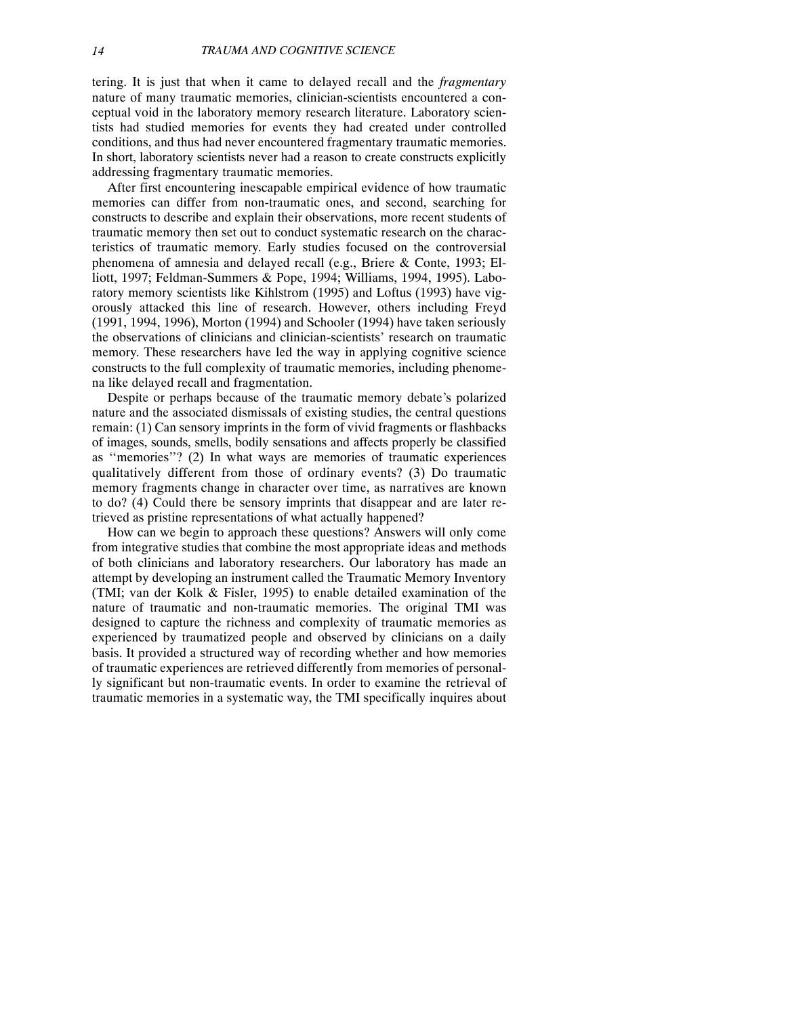tering. It is just that when it came to delayed recall and the *fragmentary* nature of many traumatic memories, clinician-scientists encountered a conceptual void in the laboratory memory research literature. Laboratory scientists had studied memories for events they had created under controlled conditions, and thus had never encountered fragmentary traumatic memories. In short, laboratory scientists never had a reason to create constructs explicitly addressing fragmentary traumatic memories.

After first encountering inescapable empirical evidence of how traumatic memories can differ from non-traumatic ones, and second, searching for constructs to describe and explain their observations, more recent students of traumatic memory then set out to conduct systematic research on the characteristics of traumatic memory. Early studies focused on the controversial phenomena of amnesia and delayed recall (e.g., Briere & Conte, 1993; Elliott, 1997; Feldman-Summers & Pope, 1994; Williams, 1994, 1995). Laboratory memory scientists like Kihlstrom (1995) and Loftus (1993) have vigorously attacked this line of research. However, others including Freyd (1991, 1994, 1996), Morton (1994) and Schooler (1994) have taken seriously the observations of clinicians and clinician-scientists' research on traumatic memory. These researchers have led the way in applying cognitive science constructs to the full complexity of traumatic memories, including phenomena like delayed recall and fragmentation.

Despite or perhaps because of the traumatic memory debate's polarized nature and the associated dismissals of existing studies, the central questions remain: (1) Can sensory imprints in the form of vivid fragments or flashbacks of images, sounds, smells, bodily sensations and affects properly be classified as ''memories''? (2) In what ways are memories of traumatic experiences qualitatively different from those of ordinary events? (3) Do traumatic memory fragments change in character over time, as narratives are known to do? (4) Could there be sensory imprints that disappear and are later retrieved as pristine representations of what actually happened?

How can we begin to approach these questions? Answers will only come from integrative studies that combine the most appropriate ideas and methods of both clinicians and laboratory researchers. Our laboratory has made an attempt by developing an instrument called the Traumatic Memory Inventory (TMI; van der Kolk & Fisler, 1995) to enable detailed examination of the nature of traumatic and non-traumatic memories. The original TMI was designed to capture the richness and complexity of traumatic memories as experienced by traumatized people and observed by clinicians on a daily basis. It provided a structured way of recording whether and how memories of traumatic experiences are retrieved differently from memories of personally significant but non-traumatic events. In order to examine the retrieval of traumatic memories in a systematic way, the TMI specifically inquires about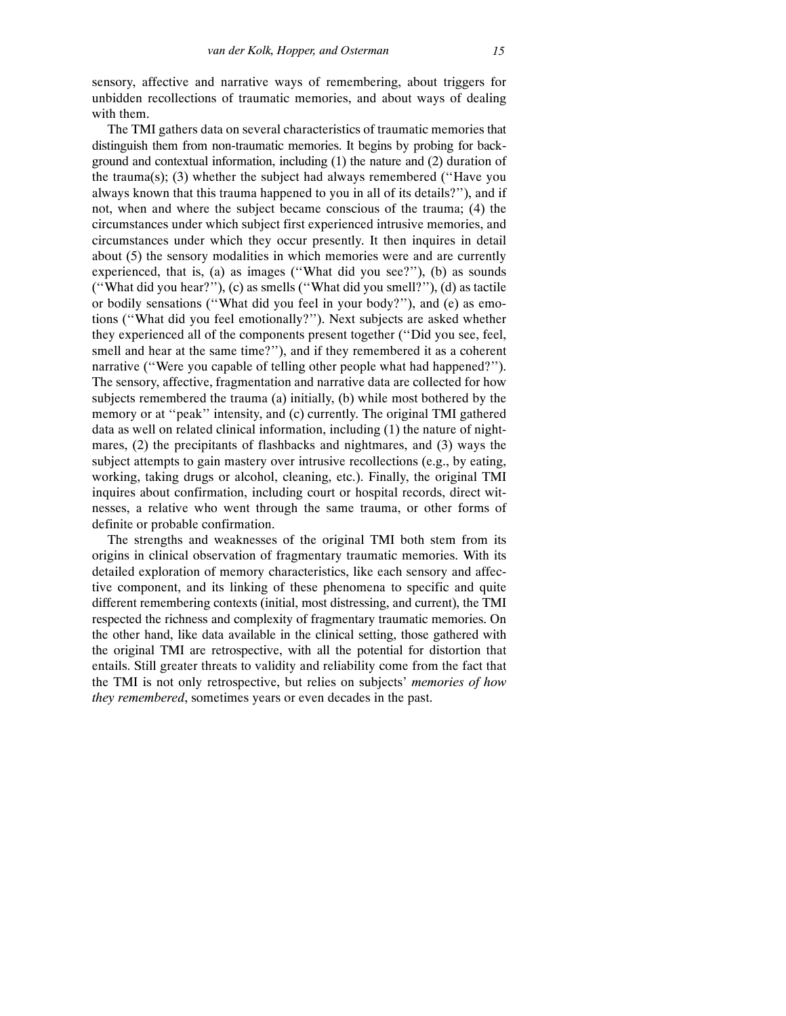sensory, affective and narrative ways of remembering, about triggers for unbidden recollections of traumatic memories, and about ways of dealing with them.

The TMI gathers data on several characteristics of traumatic memories that distinguish them from non-traumatic memories. It begins by probing for background and contextual information, including (1) the nature and (2) duration of the trauma(s); (3) whether the subject had always remembered ("Have you always known that this trauma happened to you in all of its details?''), and if not, when and where the subject became conscious of the trauma; (4) the circumstances under which subject first experienced intrusive memories, and circumstances under which they occur presently. It then inquires in detail about (5) the sensory modalities in which memories were and are currently experienced, that is, (a) as images ("What did you see?"), (b) as sounds (''What did you hear?''), (c) as smells (''What did you smell?''), (d) as tactile or bodily sensations (''What did you feel in your body?''), and (e) as emotions (''What did you feel emotionally?''). Next subjects are asked whether they experienced all of the components present together (''Did you see, feel, smell and hear at the same time?''), and if they remembered it as a coherent narrative (''Were you capable of telling other people what had happened?''). The sensory, affective, fragmentation and narrative data are collected for how subjects remembered the trauma (a) initially, (b) while most bothered by the memory or at ''peak'' intensity, and (c) currently. The original TMI gathered data as well on related clinical information, including (1) the nature of nightmares, (2) the precipitants of flashbacks and nightmares, and (3) ways the subject attempts to gain mastery over intrusive recollections (e.g., by eating, working, taking drugs or alcohol, cleaning, etc.). Finally, the original TMI inquires about confirmation, including court or hospital records, direct witnesses, a relative who went through the same trauma, or other forms of definite or probable confirmation.

The strengths and weaknesses of the original TMI both stem from its origins in clinical observation of fragmentary traumatic memories. With its detailed exploration of memory characteristics, like each sensory and affective component, and its linking of these phenomena to specific and quite different remembering contexts (initial, most distressing, and current), the TMI respected the richness and complexity of fragmentary traumatic memories. On the other hand, like data available in the clinical setting, those gathered with the original TMI are retrospective, with all the potential for distortion that entails. Still greater threats to validity and reliability come from the fact that the TMI is not only retrospective, but relies on subjects' *memories of how they remembered*, sometimes years or even decades in the past.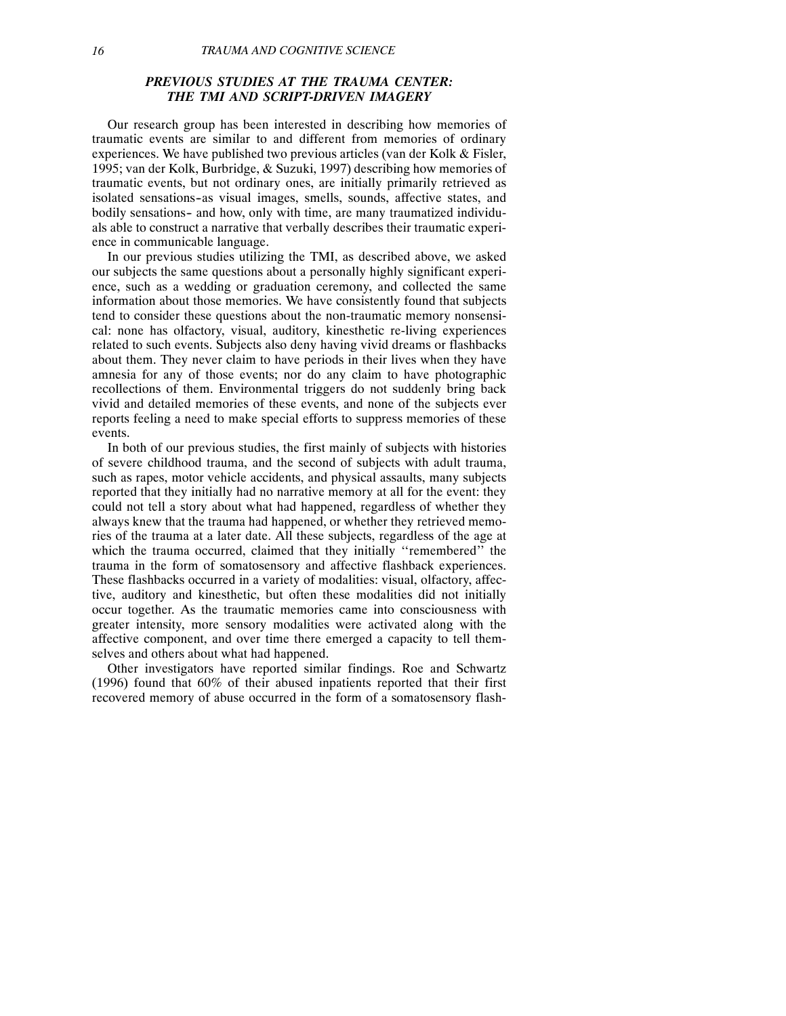## *PREVIOUS STUDIES AT THE TRAUMA CENTER: THE TMI AND SCRIPT-DRIVEN IMAGERY*

Our research group has been interested in describing how memories of traumatic events are similar to and different from memories of ordinary experiences. We have published two previous articles (van der Kolk & Fisler, 1995; van der Kolk, Burbridge, & Suzuki, 1997) describing how memories of traumatic events, but not ordinary ones, are initially primarily retrieved as isolated sensations-as visual images, smells, sounds, affective states, and bodily sensations- and how, only with time, are many traumatized individuals able to construct a narrative that verbally describes their traumatic experience in communicable language.

In our previous studies utilizing the TMI, as described above, we asked our subjects the same questions about a personally highly significant experience, such as a wedding or graduation ceremony, and collected the same information about those memories. We have consistently found that subjects tend to consider these questions about the non-traumatic memory nonsensical: none has olfactory, visual, auditory, kinesthetic re-living experiences related to such events. Subjects also deny having vivid dreams or flashbacks about them. They never claim to have periods in their lives when they have amnesia for any of those events; nor do any claim to have photographic recollections of them. Environmental triggers do not suddenly bring back vivid and detailed memories of these events, and none of the subjects ever reports feeling a need to make special efforts to suppress memories of these events.

In both of our previous studies, the first mainly of subjects with histories of severe childhood trauma, and the second of subjects with adult trauma, such as rapes, motor vehicle accidents, and physical assaults, many subjects reported that they initially had no narrative memory at all for the event: they could not tell a story about what had happened, regardless of whether they always knew that the trauma had happened, or whether they retrieved memories of the trauma at a later date. All these subjects, regardless of the age at which the trauma occurred, claimed that they initially "remembered" the trauma in the form of somatosensory and affective flashback experiences. These flashbacks occurred in a variety of modalities: visual, olfactory, affective, auditory and kinesthetic, but often these modalities did not initially occur together. As the traumatic memories came into consciousness with greater intensity, more sensory modalities were activated along with the affective component, and over time there emerged a capacity to tell themselves and others about what had happened.

Other investigators have reported similar findings. Roe and Schwartz (1996) found that 60% of their abused inpatients reported that their first recovered memory of abuse occurred in the form of a somatosensory flash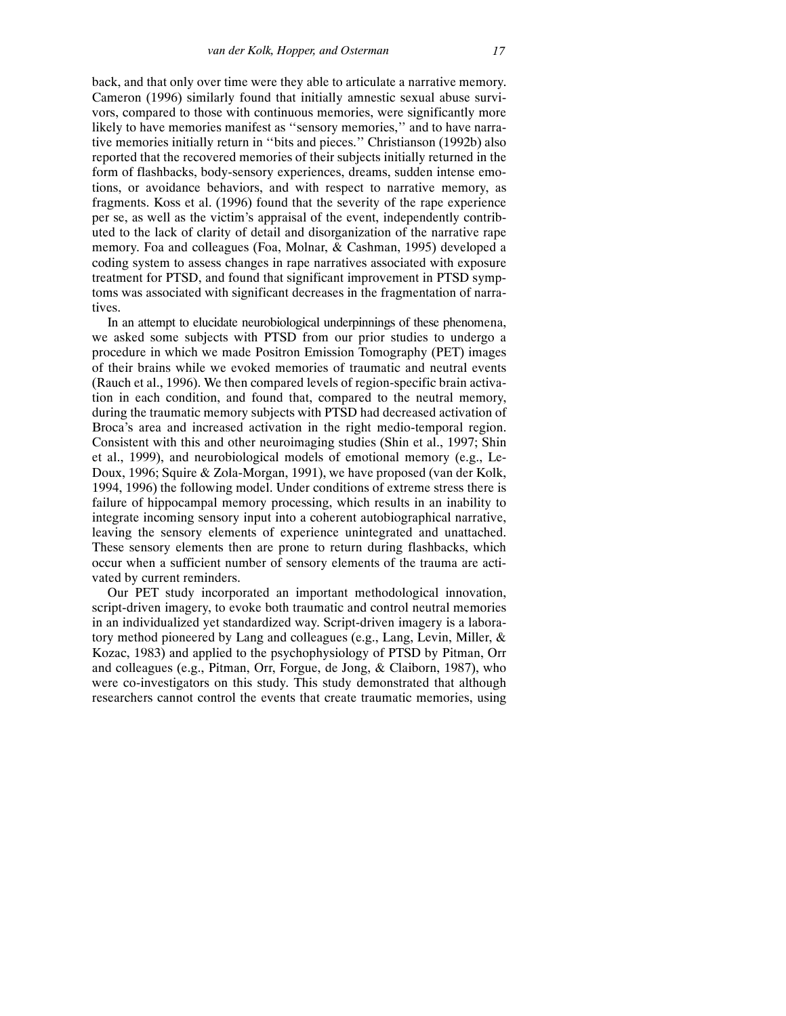back, and that only over time were they able to articulate a narrative memory. Cameron (1996) similarly found that initially amnestic sexual abuse survivors, compared to those with continuous memories, were significantly more likely to have memories manifest as ''sensory memories,'' and to have narrative memories initially return in ''bits and pieces.'' Christianson (1992b) also reported that the recovered memories of their subjects initially returned in the form of flashbacks, body-sensory experiences, dreams, sudden intense emotions, or avoidance behaviors, and with respect to narrative memory, as fragments. Koss et al. (1996) found that the severity of the rape experience per se, as well as the victim's appraisal of the event, independently contributed to the lack of clarity of detail and disorganization of the narrative rape memory. Foa and colleagues (Foa, Molnar, & Cashman, 1995) developed a coding system to assess changes in rape narratives associated with exposure treatment for PTSD, and found that significant improvement in PTSD symptoms was associated with significant decreases in the fragmentation of narratives.

In an attempt to elucidate neurobiological underpinnings of these phenomena, we asked some subjects with PTSD from our prior studies to undergo a procedure in which we made Positron Emission Tomography (PET) images of their brains while we evoked memories of traumatic and neutral events (Rauch et al., 1996). We then compared levels of region-specific brain activation in each condition, and found that, compared to the neutral memory, during the traumatic memory subjects with PTSD had decreased activation of Broca's area and increased activation in the right medio-temporal region. Consistent with this and other neuroimaging studies (Shin et al., 1997; Shin et al., 1999), and neurobiological models of emotional memory (e.g., Le-Doux, 1996; Squire & Zola-Morgan, 1991), we have proposed (van der Kolk, 1994, 1996) the following model. Under conditions of extreme stress there is failure of hippocampal memory processing, which results in an inability to integrate incoming sensory input into a coherent autobiographical narrative, leaving the sensory elements of experience unintegrated and unattached. These sensory elements then are prone to return during flashbacks, which occur when a sufficient number of sensory elements of the trauma are activated by current reminders.

Our PET study incorporated an important methodological innovation, script-driven imagery, to evoke both traumatic and control neutral memories in an individualized yet standardized way. Script-driven imagery is a laboratory method pioneered by Lang and colleagues (e.g., Lang, Levin, Miller, & Kozac, 1983) and applied to the psychophysiology of PTSD by Pitman, Orr and colleagues (e.g., Pitman, Orr, Forgue, de Jong, & Claiborn, 1987), who were co-investigators on this study. This study demonstrated that although researchers cannot control the events that create traumatic memories, using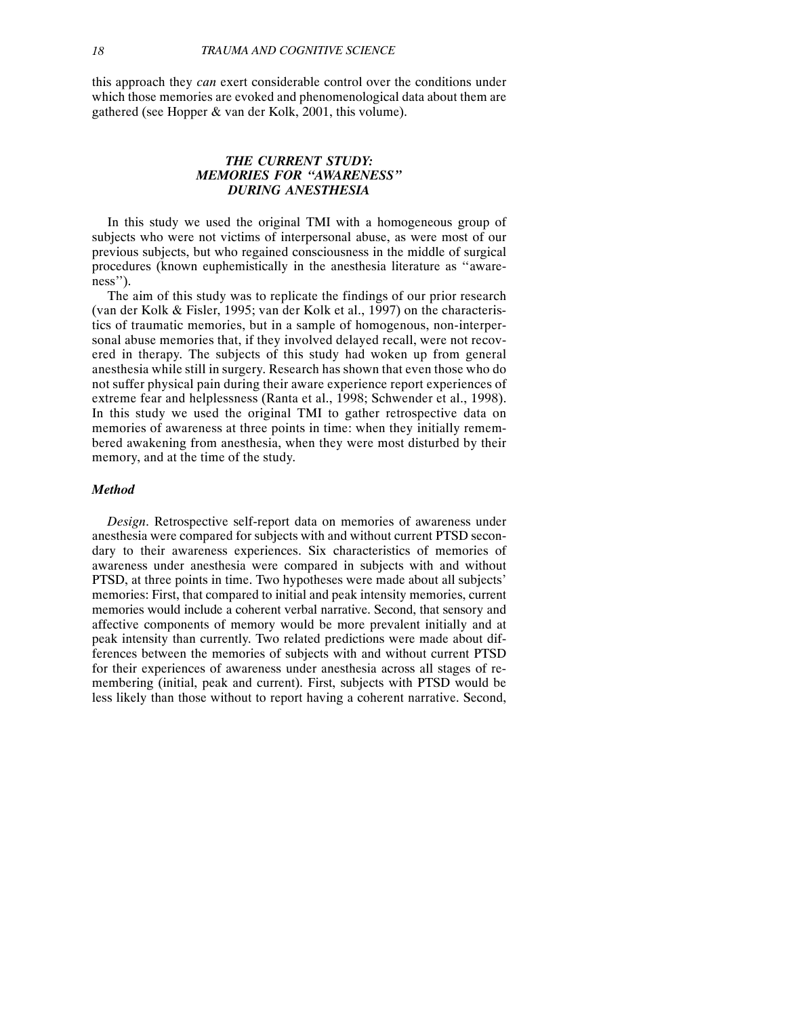this approach they *can* exert considerable control over the conditions under which those memories are evoked and phenomenological data about them are gathered (see Hopper & van der Kolk, 2001, this volume).

# *THE CURRENT STUDY: MEMORIES FOR ''AWARENESS'' DURING ANESTHESIA*

In this study we used the original TMI with a homogeneous group of subjects who were not victims of interpersonal abuse, as were most of our previous subjects, but who regained consciousness in the middle of surgical procedures (known euphemistically in the anesthesia literature as ''awareness'').

The aim of this study was to replicate the findings of our prior research (van der Kolk & Fisler, 1995; van der Kolk et al., 1997) on the characteristics of traumatic memories, but in a sample of homogenous, non-interpersonal abuse memories that, if they involved delayed recall, were not recovered in therapy. The subjects of this study had woken up from general anesthesia while still in surgery. Research has shown that even those who do not suffer physical pain during their aware experience report experiences of extreme fear and helplessness (Ranta et al., 1998; Schwender et al., 1998). In this study we used the original TMI to gather retrospective data on memories of awareness at three points in time: when they initially remembered awakening from anesthesia, when they were most disturbed by their memory, and at the time of the study.

## *Method*

*Design*. Retrospective self-report data on memories of awareness under anesthesia were compared for subjects with and without current PTSD secondary to their awareness experiences. Six characteristics of memories of awareness under anesthesia were compared in subjects with and without PTSD, at three points in time. Two hypotheses were made about all subjects' memories: First, that compared to initial and peak intensity memories, current memories would include a coherent verbal narrative. Second, that sensory and affective components of memory would be more prevalent initially and at peak intensity than currently. Two related predictions were made about differences between the memories of subjects with and without current PTSD for their experiences of awareness under anesthesia across all stages of remembering (initial, peak and current). First, subjects with PTSD would be less likely than those without to report having a coherent narrative. Second,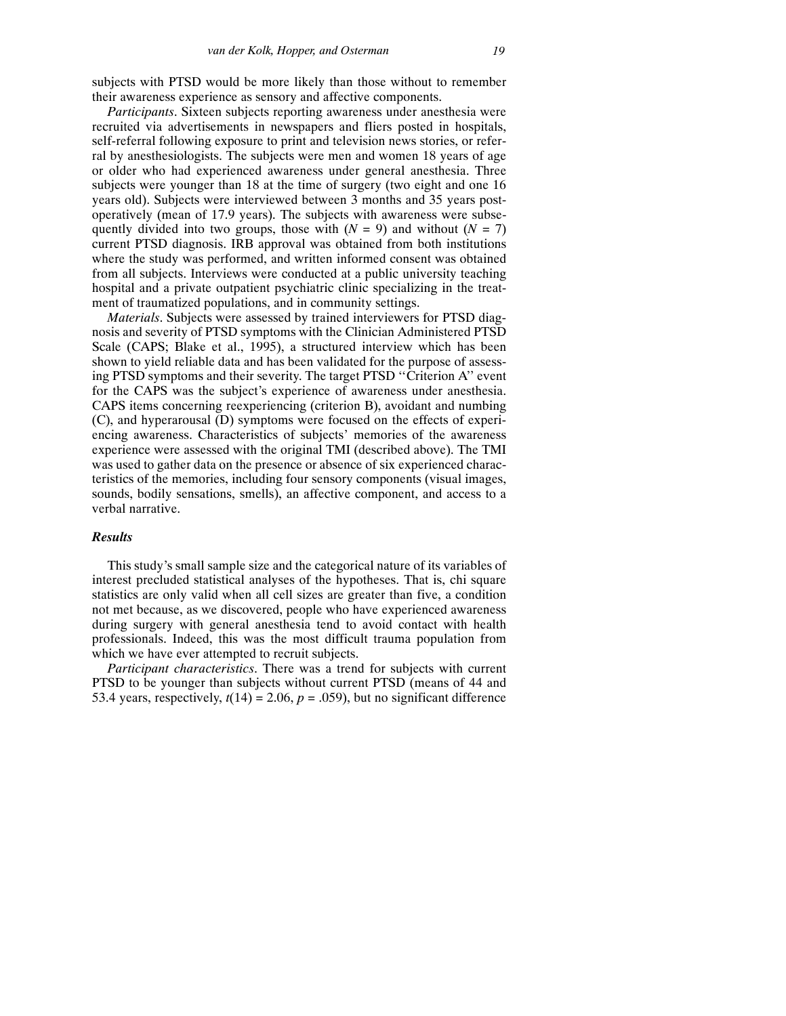subjects with PTSD would be more likely than those without to remember their awareness experience as sensory and affective components.

*Participants*. Sixteen subjects reporting awareness under anesthesia were recruited via advertisements in newspapers and fliers posted in hospitals, self-referral following exposure to print and television news stories, or referral by anesthesiologists. The subjects were men and women 18 years of age or older who had experienced awareness under general anesthesia. Three subjects were younger than 18 at the time of surgery (two eight and one 16 years old). Subjects were interviewed between 3 months and 35 years postoperatively (mean of 17.9 years). The subjects with awareness were subsequently divided into two groups, those with  $(N = 9)$  and without  $(N = 7)$ current PTSD diagnosis. IRB approval was obtained from both institutions where the study was performed, and written informed consent was obtained from all subjects. Interviews were conducted at a public university teaching hospital and a private outpatient psychiatric clinic specializing in the treatment of traumatized populations, and in community settings.

*Materials*. Subjects were assessed by trained interviewers for PTSD diagnosis and severity of PTSD symptoms with the Clinician Administered PTSD Scale (CAPS; Blake et al., 1995), a structured interview which has been shown to yield reliable data and has been validated for the purpose of assessing PTSD symptoms and their severity. The target PTSD ''Criterion A'' event for the CAPS was the subject's experience of awareness under anesthesia. CAPS items concerning reexperiencing (criterion B), avoidant and numbing (C), and hyperarousal (D) symptoms were focused on the effects of experiencing awareness. Characteristics of subjects' memories of the awareness experience were assessed with the original TMI (described above). The TMI was used to gather data on the presence or absence of six experienced characteristics of the memories, including four sensory components (visual images, sounds, bodily sensations, smells), an affective component, and access to a verbal narrative.

## *Results*

This study's small sample size and the categorical nature of its variables of interest precluded statistical analyses of the hypotheses. That is, chi square statistics are only valid when all cell sizes are greater than five, a condition not met because, as we discovered, people who have experienced awareness during surgery with general anesthesia tend to avoid contact with health professionals. Indeed, this was the most difficult trauma population from which we have ever attempted to recruit subjects.

*Participant characteristics*. There was a trend for subjects with current PTSD to be younger than subjects without current PTSD (means of 44 and 53.4 years, respectively,  $t(14) = 2.06$ ,  $p = .059$ ), but no significant difference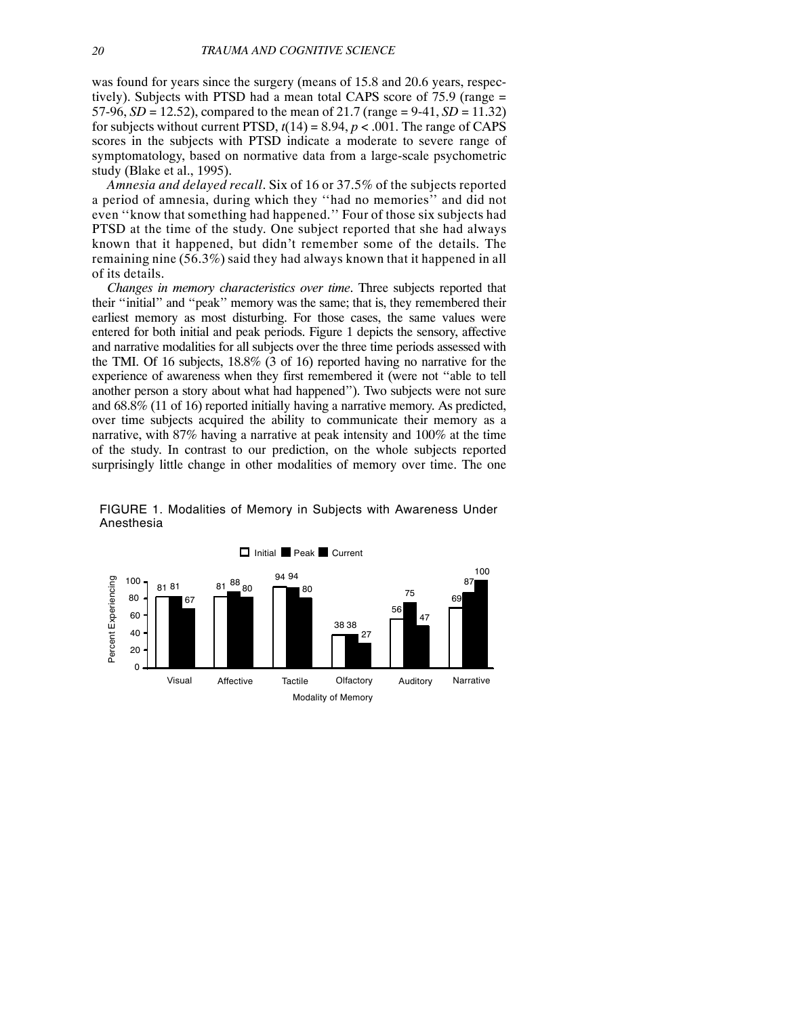was found for years since the surgery (means of 15.8 and 20.6 years, respectively). Subjects with PTSD had a mean total CAPS score of 75.9 (range = 57-96,  $SD = 12.52$ ), compared to the mean of 21.7 (range = 9-41,  $SD = 11.32$ ) for subjects without current PTSD,  $t(14) = 8.94$ ,  $p < .001$ . The range of CAPS scores in the subjects with PTSD indicate a moderate to severe range of symptomatology, based on normative data from a large-scale psychometric study (Blake et al., 1995).

*Amnesia and delayed recall*. Six of 16 or 37.5% of the subjects reported a period of amnesia, during which they ''had no memories'' and did not even ''know that something had happened.'' Four of those six subjects had PTSD at the time of the study. One subject reported that she had always known that it happened, but didn't remember some of the details. The remaining nine (56.3%) said they had always known that it happened in all of its details.

*Changes in memory characteristics over time*. Three subjects reported that their "initial" and "peak" memory was the same; that is, they remembered their earliest memory as most disturbing. For those cases, the same values were entered for both initial and peak periods. Figure 1 depicts the sensory, affective and narrative modalities for all subjects over the three time periods assessed with the TMI. Of 16 subjects, 18.8% (3 of 16) reported having no narrative for the experience of awareness when they first remembered it (were not ''able to tell another person a story about what had happened''). Two subjects were not sure and 68.8% (11 of 16) reported initially having a narrative memory. As predicted, over time subjects acquired the ability to communicate their memory as a narrative, with 87% having a narrative at peak intensity and 100% at the time of the study. In contrast to our prediction, on the whole subjects reported surprisingly little change in other modalities of memory over time. The one



FIGURE 1. Modalities of Memory in Subjects with Awareness Under Anesthesia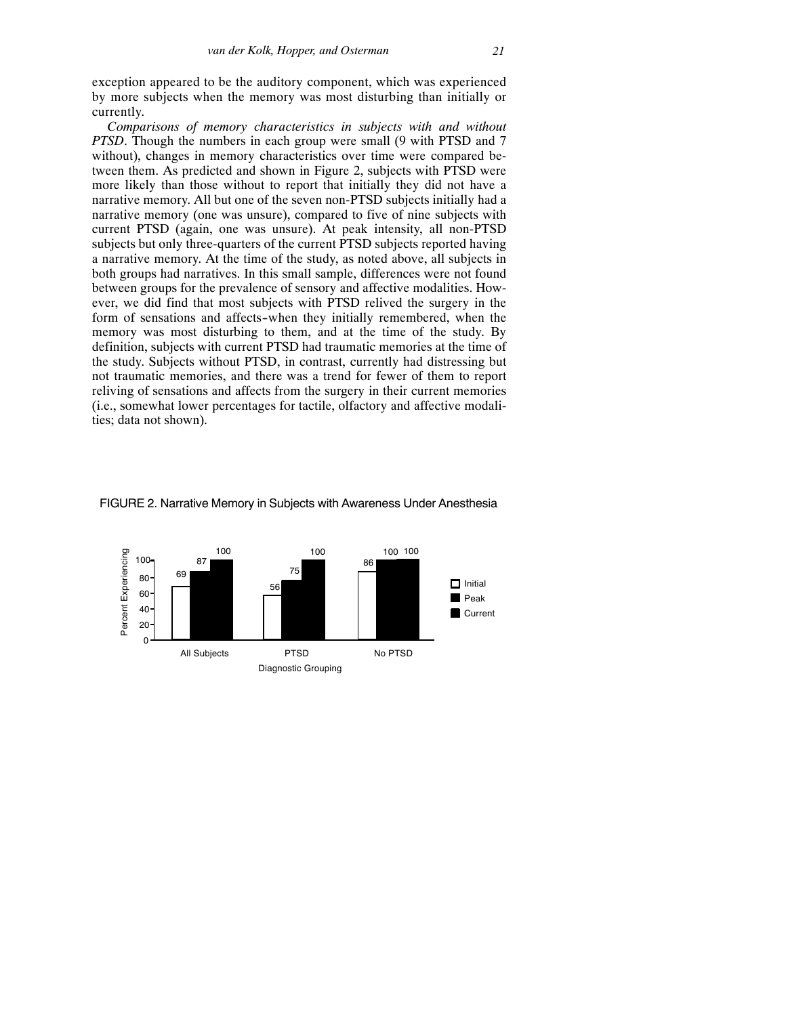exception appeared to be the auditory component, which was experienced by more subjects when the memory was most disturbing than initially or currently.

*Comparisons of memory characteristics in subjects with and without PTSD*. Though the numbers in each group were small (9 with PTSD and 7 without), changes in memory characteristics over time were compared between them. As predicted and shown in Figure 2, subjects with PTSD were more likely than those without to report that initially they did not have a narrative memory. All but one of the seven non-PTSD subjects initially had a narrative memory (one was unsure), compared to five of nine subjects with current PTSD (again, one was unsure). At peak intensity, all non-PTSD subjects but only three-quarters of the current PTSD subjects reported having a narrative memory. At the time of the study, as noted above, all subjects in both groups had narratives. In this small sample, differences were not found between groups for the prevalence of sensory and affective modalities. However, we did find that most subjects with PTSD relived the surgery in the form of sensations and affects--when they initially remembered, when the memory was most disturbing to them, and at the time of the study. By definition, subjects with current PTSD had traumatic memories at the time of the study. Subjects without PTSD, in contrast, currently had distressing but not traumatic memories, and there was a trend for fewer of them to report reliving of sensations and affects from the surgery in their current memories (i.e., somewhat lower percentages for tactile, olfactory and affective modalities; data not shown).



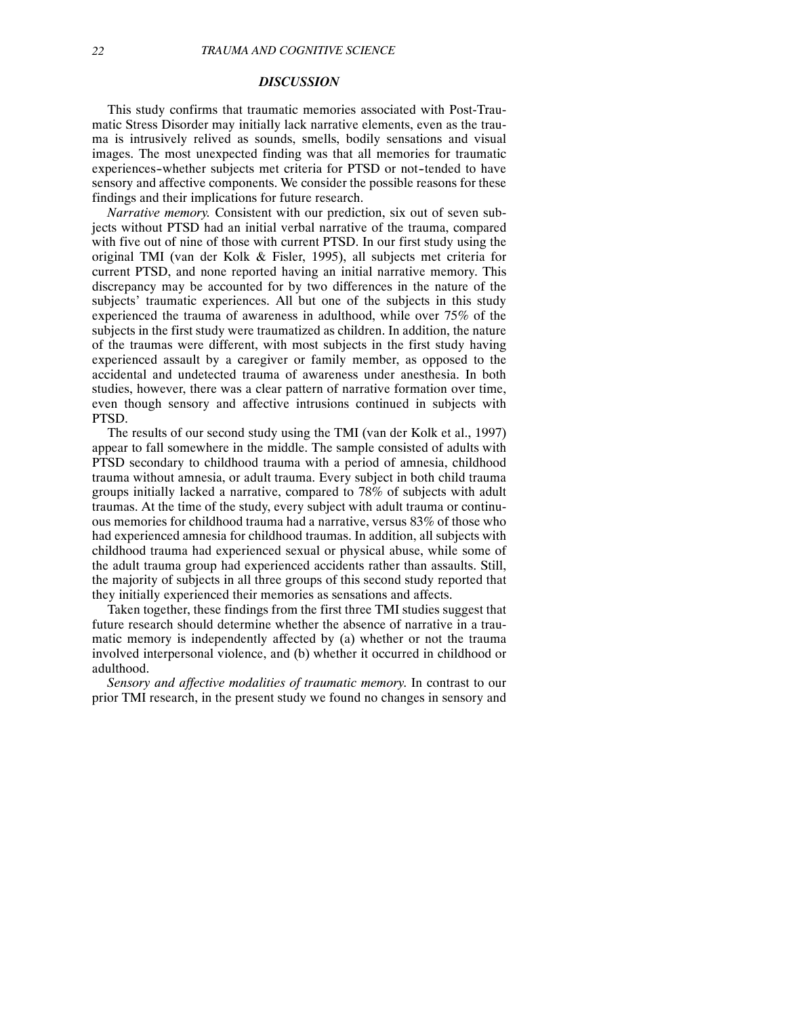## *DISCUSSION*

This study confirms that traumatic memories associated with Post-Traumatic Stress Disorder may initially lack narrative elements, even as the trauma is intrusively relived as sounds, smells, bodily sensations and visual images. The most unexpected finding was that all memories for traumatic experiences--whether subjects met criteria for PTSD or not--tended to have sensory and affective components. We consider the possible reasons for these findings and their implications for future research.

*Narrative memory.* Consistent with our prediction, six out of seven subjects without PTSD had an initial verbal narrative of the trauma, compared with five out of nine of those with current PTSD. In our first study using the original TMI (van der Kolk & Fisler, 1995), all subjects met criteria for current PTSD, and none reported having an initial narrative memory. This discrepancy may be accounted for by two differences in the nature of the subjects' traumatic experiences. All but one of the subjects in this study experienced the trauma of awareness in adulthood, while over 75% of the subjects in the first study were traumatized as children. In addition, the nature of the traumas were different, with most subjects in the first study having experienced assault by a caregiver or family member, as opposed to the accidental and undetected trauma of awareness under anesthesia. In both studies, however, there was a clear pattern of narrative formation over time, even though sensory and affective intrusions continued in subjects with PTSD.

The results of our second study using the TMI (van der Kolk et al., 1997) appear to fall somewhere in the middle. The sample consisted of adults with PTSD secondary to childhood trauma with a period of amnesia, childhood trauma without amnesia, or adult trauma. Every subject in both child trauma groups initially lacked a narrative, compared to 78% of subjects with adult traumas. At the time of the study, every subject with adult trauma or continuous memories for childhood trauma had a narrative, versus 83% of those who had experienced amnesia for childhood traumas. In addition, all subjects with childhood trauma had experienced sexual or physical abuse, while some of the adult trauma group had experienced accidents rather than assaults. Still, the majority of subjects in all three groups of this second study reported that they initially experienced their memories as sensations and affects.

Taken together, these findings from the first three TMI studies suggest that future research should determine whether the absence of narrative in a traumatic memory is independently affected by (a) whether or not the trauma involved interpersonal violence, and (b) whether it occurred in childhood or adulthood.

*Sensory and affective modalities of traumatic memory*. In contrast to our prior TMI research, in the present study we found no changes in sensory and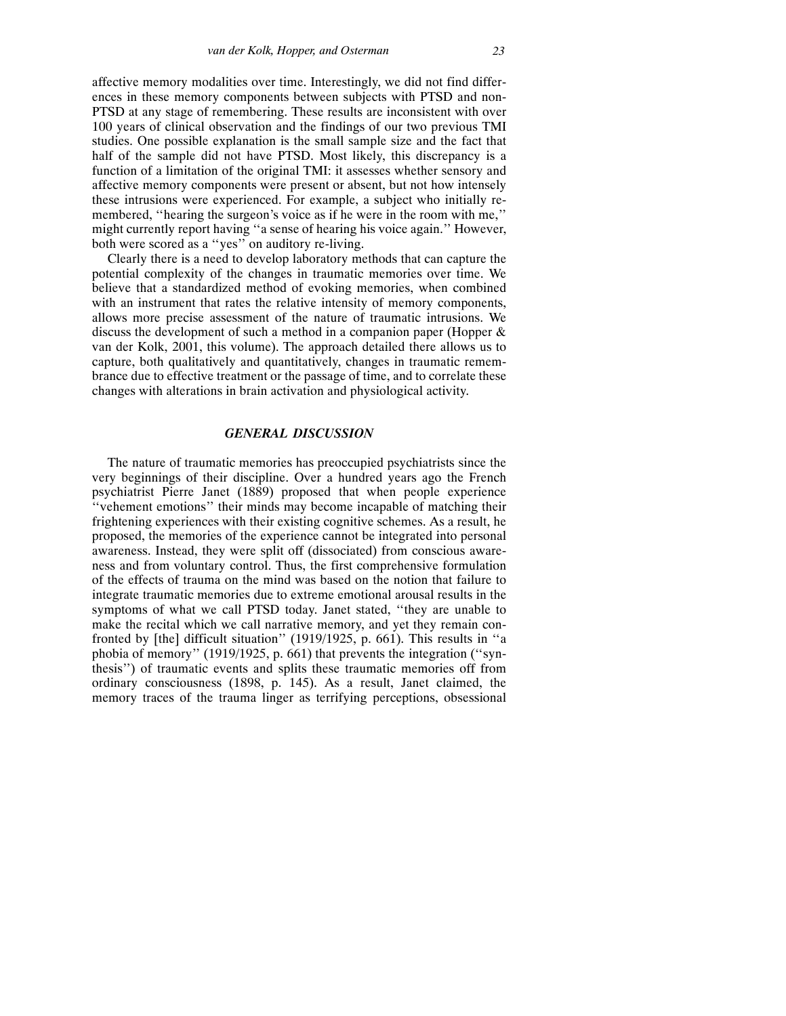affective memory modalities over time. Interestingly, we did not find differences in these memory components between subjects with PTSD and non-PTSD at any stage of remembering. These results are inconsistent with over 100 years of clinical observation and the findings of our two previous TMI studies. One possible explanation is the small sample size and the fact that half of the sample did not have PTSD. Most likely, this discrepancy is a function of a limitation of the original TMI: it assesses whether sensory and affective memory components were present or absent, but not how intensely these intrusions were experienced. For example, a subject who initially remembered, "hearing the surgeon's voice as if he were in the room with me," might currently report having ''a sense of hearing his voice again.'' However, both were scored as a ''yes'' on auditory re-living.

Clearly there is a need to develop laboratory methods that can capture the potential complexity of the changes in traumatic memories over time. We believe that a standardized method of evoking memories, when combined with an instrument that rates the relative intensity of memory components, allows more precise assessment of the nature of traumatic intrusions. We discuss the development of such a method in a companion paper (Hopper & van der Kolk, 2001, this volume). The approach detailed there allows us to capture, both qualitatively and quantitatively, changes in traumatic remembrance due to effective treatment or the passage of time, and to correlate these changes with alterations in brain activation and physiological activity.

#### *GENERAL DISCUSSION*

The nature of traumatic memories has preoccupied psychiatrists since the very beginnings of their discipline. Over a hundred years ago the French psychiatrist Pierre Janet (1889) proposed that when people experience ''vehement emotions'' their minds may become incapable of matching their frightening experiences with their existing cognitive schemes. As a result, he proposed, the memories of the experience cannot be integrated into personal awareness. Instead, they were split off (dissociated) from conscious awareness and from voluntary control. Thus, the first comprehensive formulation of the effects of trauma on the mind was based on the notion that failure to integrate traumatic memories due to extreme emotional arousal results in the symptoms of what we call PTSD today. Janet stated, ''they are unable to make the recital which we call narrative memory, and yet they remain confronted by [the] difficult situation'' (1919/1925, p. 661). This results in ''a phobia of memory'' (1919/1925, p. 661) that prevents the integration (''synthesis'') of traumatic events and splits these traumatic memories off from ordinary consciousness (1898, p. 145). As a result, Janet claimed, the memory traces of the trauma linger as terrifying perceptions, obsessional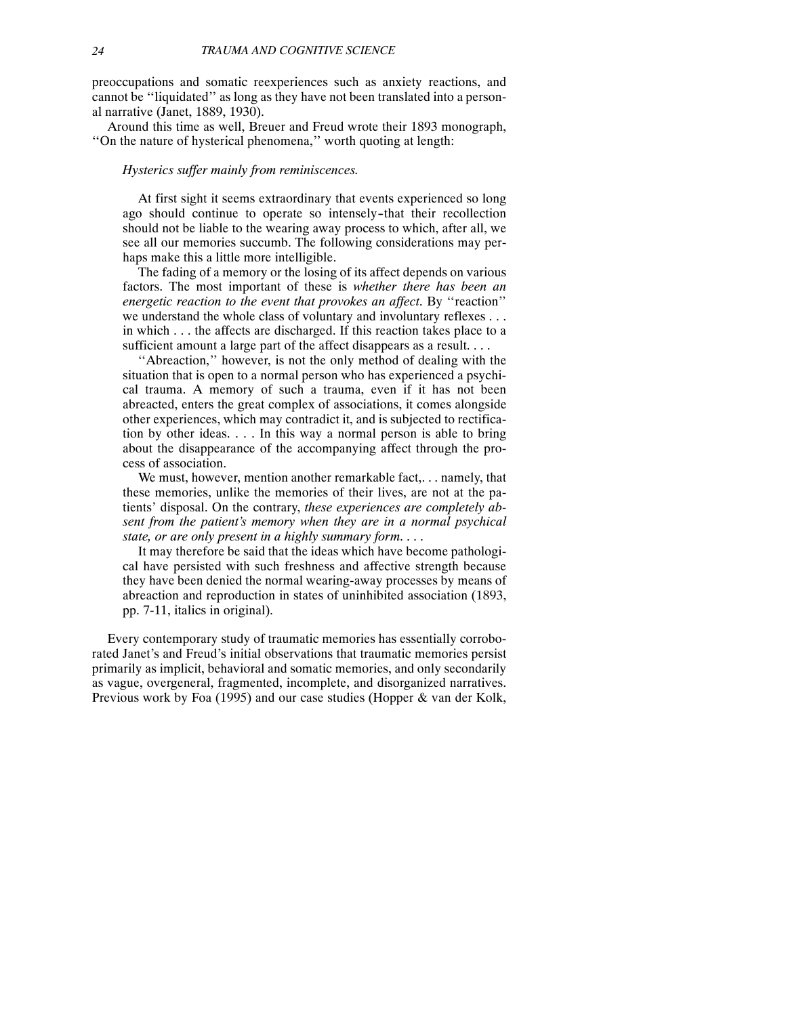preoccupations and somatic reexperiences such as anxiety reactions, and cannot be ''liquidated'' as long as they have not been translated into a personal narrative (Janet, 1889, 1930).

Around this time as well, Breuer and Freud wrote their 1893 monograph, ''On the nature of hysterical phenomena,'' worth quoting at length:

## *Hysterics suffer mainly from reminiscences.*

At first sight it seems extraordinary that events experienced so long ago should continue to operate so intensely--that their recollection should not be liable to the wearing away process to which, after all, we see all our memories succumb. The following considerations may perhaps make this a little more intelligible.

The fading of a memory or the losing of its affect depends on various factors. The most important of these is *whether there has been an energetic reaction to the event that provokes an affect*. By ''reaction'' we understand the whole class of voluntary and involuntary reflexes . . . in which . . . the affects are discharged. If this reaction takes place to a sufficient amount a large part of the affect disappears as a result....

''Abreaction,'' however, is not the only method of dealing with the situation that is open to a normal person who has experienced a psychical trauma. A memory of such a trauma, even if it has not been abreacted, enters the great complex of associations, it comes alongside other experiences, which may contradict it, and is subjected to rectification by other ideas. . . . In this way a normal person is able to bring about the disappearance of the accompanying affect through the process of association.

We must, however, mention another remarkable fact,... namely, that these memories, unlike the memories of their lives, are not at the patients' disposal. On the contrary, *these experiences are completely absent from the patient's memory when they are in a normal psychical state, or are only present in a highly summary form*....

It may therefore be said that the ideas which have become pathological have persisted with such freshness and affective strength because they have been denied the normal wearing-away processes by means of abreaction and reproduction in states of uninhibited association (1893, pp. 7-11, italics in original).

Every contemporary study of traumatic memories has essentially corroborated Janet's and Freud's initial observations that traumatic memories persist primarily as implicit, behavioral and somatic memories, and only secondarily as vague, overgeneral, fragmented, incomplete, and disorganized narratives. Previous work by Foa (1995) and our case studies (Hopper & van der Kolk,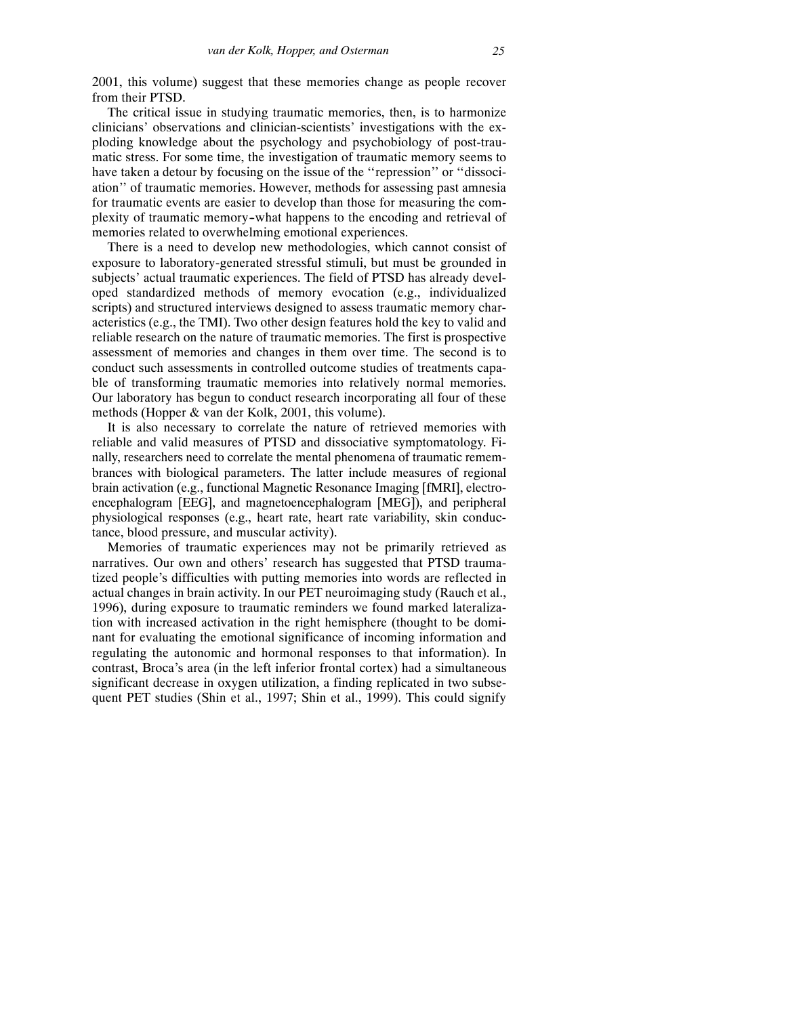2001, this volume) suggest that these memories change as people recover from their PTSD.

The critical issue in studying traumatic memories, then, is to harmonize clinicians' observations and clinician-scientists' investigations with the exploding knowledge about the psychology and psychobiology of post-traumatic stress. For some time, the investigation of traumatic memory seems to have taken a detour by focusing on the issue of the ''repression'' or ''dissociation'' of traumatic memories. However, methods for assessing past amnesia for traumatic events are easier to develop than those for measuring the complexity of traumatic memory--what happens to the encoding and retrieval of memories related to overwhelming emotional experiences.

There is a need to develop new methodologies, which cannot consist of exposure to laboratory-generated stressful stimuli, but must be grounded in subjects' actual traumatic experiences. The field of PTSD has already developed standardized methods of memory evocation (e.g., individualized scripts) and structured interviews designed to assess traumatic memory characteristics (e.g., the TMI). Two other design features hold the key to valid and reliable research on the nature of traumatic memories. The first is prospective assessment of memories and changes in them over time. The second is to conduct such assessments in controlled outcome studies of treatments capable of transforming traumatic memories into relatively normal memories. Our laboratory has begun to conduct research incorporating all four of these methods (Hopper & van der Kolk, 2001, this volume).

It is also necessary to correlate the nature of retrieved memories with reliable and valid measures of PTSD and dissociative symptomatology. Finally, researchers need to correlate the mental phenomena of traumatic remembrances with biological parameters. The latter include measures of regional brain activation (e.g., functional Magnetic Resonance Imaging [fMRI], electroencephalogram [EEG], and magnetoencephalogram [MEG]), and peripheral physiological responses (e.g., heart rate, heart rate variability, skin conductance, blood pressure, and muscular activity).

Memories of traumatic experiences may not be primarily retrieved as narratives. Our own and others' research has suggested that PTSD traumatized people's difficulties with putting memories into words are reflected in actual changes in brain activity. In our PET neuroimaging study (Rauch et al., 1996), during exposure to traumatic reminders we found marked lateralization with increased activation in the right hemisphere (thought to be dominant for evaluating the emotional significance of incoming information and regulating the autonomic and hormonal responses to that information). In contrast, Broca's area (in the left inferior frontal cortex) had a simultaneous significant decrease in oxygen utilization, a finding replicated in two subsequent PET studies (Shin et al., 1997; Shin et al., 1999). This could signify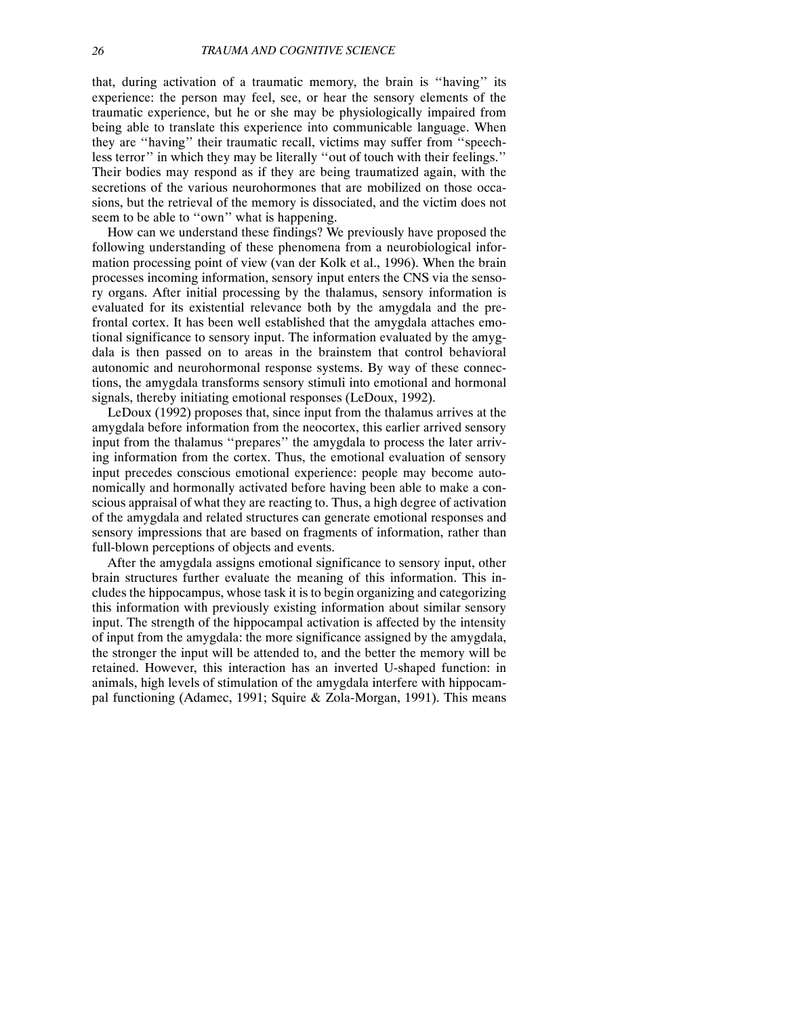that, during activation of a traumatic memory, the brain is ''having'' its experience: the person may feel, see, or hear the sensory elements of the traumatic experience, but he or she may be physiologically impaired from being able to translate this experience into communicable language. When they are ''having'' their traumatic recall, victims may suffer from ''speechless terror'' in which they may be literally ''out of touch with their feelings.'' Their bodies may respond as if they are being traumatized again, with the secretions of the various neurohormones that are mobilized on those occasions, but the retrieval of the memory is dissociated, and the victim does not seem to be able to "own" what is happening.

How can we understand these findings? We previously have proposed the following understanding of these phenomena from a neurobiological information processing point of view (van der Kolk et al., 1996). When the brain processes incoming information, sensory input enters the CNS via the sensory organs. After initial processing by the thalamus, sensory information is evaluated for its existential relevance both by the amygdala and the prefrontal cortex. It has been well established that the amygdala attaches emotional significance to sensory input. The information evaluated by the amygdala is then passed on to areas in the brainstem that control behavioral autonomic and neurohormonal response systems. By way of these connections, the amygdala transforms sensory stimuli into emotional and hormonal signals, thereby initiating emotional responses (LeDoux, 1992).

LeDoux (1992) proposes that, since input from the thalamus arrives at the amygdala before information from the neocortex, this earlier arrived sensory input from the thalamus ''prepares'' the amygdala to process the later arriving information from the cortex. Thus, the emotional evaluation of sensory input precedes conscious emotional experience: people may become autonomically and hormonally activated before having been able to make a conscious appraisal of what they are reacting to. Thus, a high degree of activation of the amygdala and related structures can generate emotional responses and sensory impressions that are based on fragments of information, rather than full-blown perceptions of objects and events.

After the amygdala assigns emotional significance to sensory input, other brain structures further evaluate the meaning of this information. This includes the hippocampus, whose task it is to begin organizing and categorizing this information with previously existing information about similar sensory input. The strength of the hippocampal activation is affected by the intensity of input from the amygdala: the more significance assigned by the amygdala, the stronger the input will be attended to, and the better the memory will be retained. However, this interaction has an inverted U-shaped function: in animals, high levels of stimulation of the amygdala interfere with hippocampal functioning (Adamec, 1991; Squire & Zola-Morgan, 1991). This means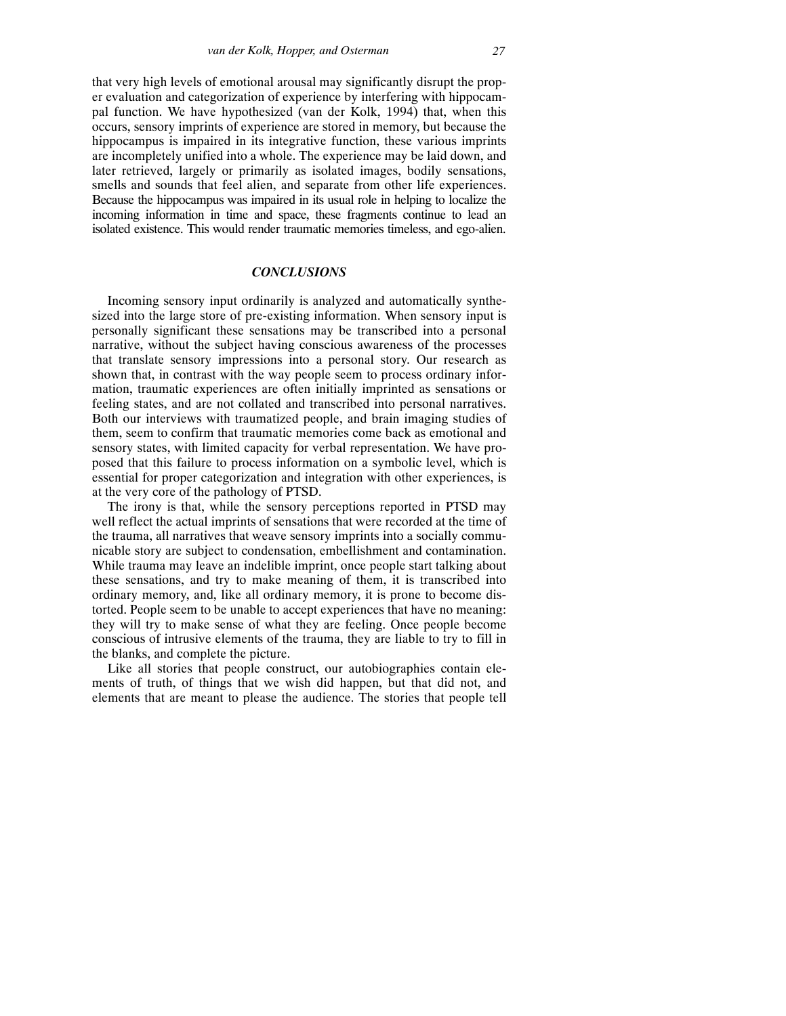that very high levels of emotional arousal may significantly disrupt the proper evaluation and categorization of experience by interfering with hippocampal function. We have hypothesized (van der Kolk, 1994) that, when this occurs, sensory imprints of experience are stored in memory, but because the hippocampus is impaired in its integrative function, these various imprints are incompletely unified into a whole. The experience may be laid down, and later retrieved, largely or primarily as isolated images, bodily sensations, smells and sounds that feel alien, and separate from other life experiences. Because the hippocampus was impaired in its usual role in helping to localize the incoming information in time and space, these fragments continue to lead an isolated existence. This would render traumatic memories timeless, and ego-alien.

## *CONCLUSIONS*

Incoming sensory input ordinarily is analyzed and automatically synthesized into the large store of pre-existing information. When sensory input is personally significant these sensations may be transcribed into a personal narrative, without the subject having conscious awareness of the processes that translate sensory impressions into a personal story. Our research as shown that, in contrast with the way people seem to process ordinary information, traumatic experiences are often initially imprinted as sensations or feeling states, and are not collated and transcribed into personal narratives. Both our interviews with traumatized people, and brain imaging studies of them, seem to confirm that traumatic memories come back as emotional and sensory states, with limited capacity for verbal representation. We have proposed that this failure to process information on a symbolic level, which is essential for proper categorization and integration with other experiences, is at the very core of the pathology of PTSD.

The irony is that, while the sensory perceptions reported in PTSD may well reflect the actual imprints of sensations that were recorded at the time of the trauma, all narratives that weave sensory imprints into a socially communicable story are subject to condensation, embellishment and contamination. While trauma may leave an indelible imprint, once people start talking about these sensations, and try to make meaning of them, it is transcribed into ordinary memory, and, like all ordinary memory, it is prone to become distorted. People seem to be unable to accept experiences that have no meaning: they will try to make sense of what they are feeling. Once people become conscious of intrusive elements of the trauma, they are liable to try to fill in the blanks, and complete the picture.

Like all stories that people construct, our autobiographies contain elements of truth, of things that we wish did happen, but that did not, and elements that are meant to please the audience. The stories that people tell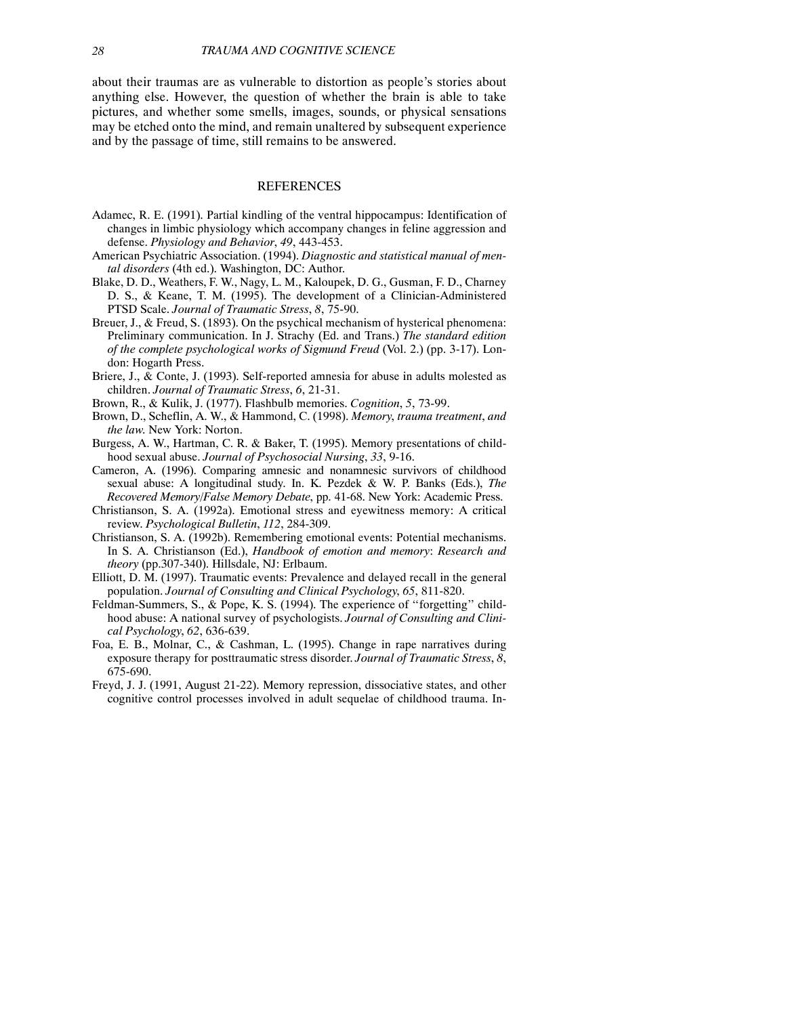about their traumas are as vulnerable to distortion as people's stories about anything else. However, the question of whether the brain is able to take pictures, and whether some smells, images, sounds, or physical sensations may be etched onto the mind, and remain unaltered by subsequent experience and by the passage of time, still remains to be answered.

#### REFERENCES

- Adamec, R. E. (1991). Partial kindling of the ventral hippocampus: Identification of changes in limbic physiology which accompany changes in feline aggression and defense. *Physiology and Behavior*, *49*, 443-453.
- American Psychiatric Association. (1994). *Diagnostic and statistical manual of mental disorders* (4th ed.). Washington, DC: Author.
- Blake, D. D., Weathers, F. W., Nagy, L. M., Kaloupek, D. G., Gusman, F. D., Charney D. S., & Keane, T. M. (1995). The development of a Clinician-Administered PTSD Scale. *Journal of Traumatic Stress*, *8*, 75-90.
- Breuer, J., & Freud, S. (1893). On the psychical mechanism of hysterical phenomena: Preliminary communication. In J. Strachy (Ed. and Trans.) *The standard edition of the complete psychological works of Sigmund Freud* (Vol. 2.) (pp. 3-17). London: Hogarth Press.
- Briere, J.,  $\&$  Conte, J. (1993). Self-reported amnesia for abuse in adults molested as children. *Journal of Traumatic Stress*, *6*, 21-31.
- Brown, R., & Kulik, J. (1977). Flashbulb memories. *Cognition*, *5*, 73-99.
- Brown, D., Scheflin, A. W., & Hammond, C. (1998). *Memory*, *trauma treatment*, *and the law*. New York: Norton.
- Burgess, A. W., Hartman, C. R. & Baker, T. (1995). Memory presentations of childhood sexual abuse. *Journal of Psychosocial Nursing*, *33*, 9-16.
- Cameron, A. (1996). Comparing amnesic and nonamnesic survivors of childhood sexual abuse: A longitudinal study. In. K. Pezdek & W. P. Banks (Eds.), *The Recovered Memory/False Memory Debate*, pp. 41-68. New York: Academic Press.
- Christianson, S. A. (1992a). Emotional stress and eyewitness memory: A critical review. *Psychological Bulletin*, *112*, 284-309.
- Christianson, S. A. (1992b). Remembering emotional events: Potential mechanisms. In S. A. Christianson (Ed.), *Handbook of emotion and memory*: *Research and theory* (pp.307-340). Hillsdale, NJ: Erlbaum.
- Elliott, D. M. (1997). Traumatic events: Prevalence and delayed recall in the general population. *Journal of Consulting and Clinical Psychology*, *65*, 811-820.
- Feldman-Summers, S., & Pope, K. S. (1994). The experience of ''forgetting'' childhood abuse: A national survey of psychologists. *Journal of Consulting and Clinical Psychology*, *62*, 636-639.
- Foa, E. B., Molnar, C., & Cashman, L. (1995). Change in rape narratives during exposure therapy for posttraumatic stress disorder. *Journal of Traumatic Stress*, *8*, 675-690.
- Freyd, J. J. (1991, August 21-22). Memory repression, dissociative states, and other cognitive control processes involved in adult sequelae of childhood trauma. In-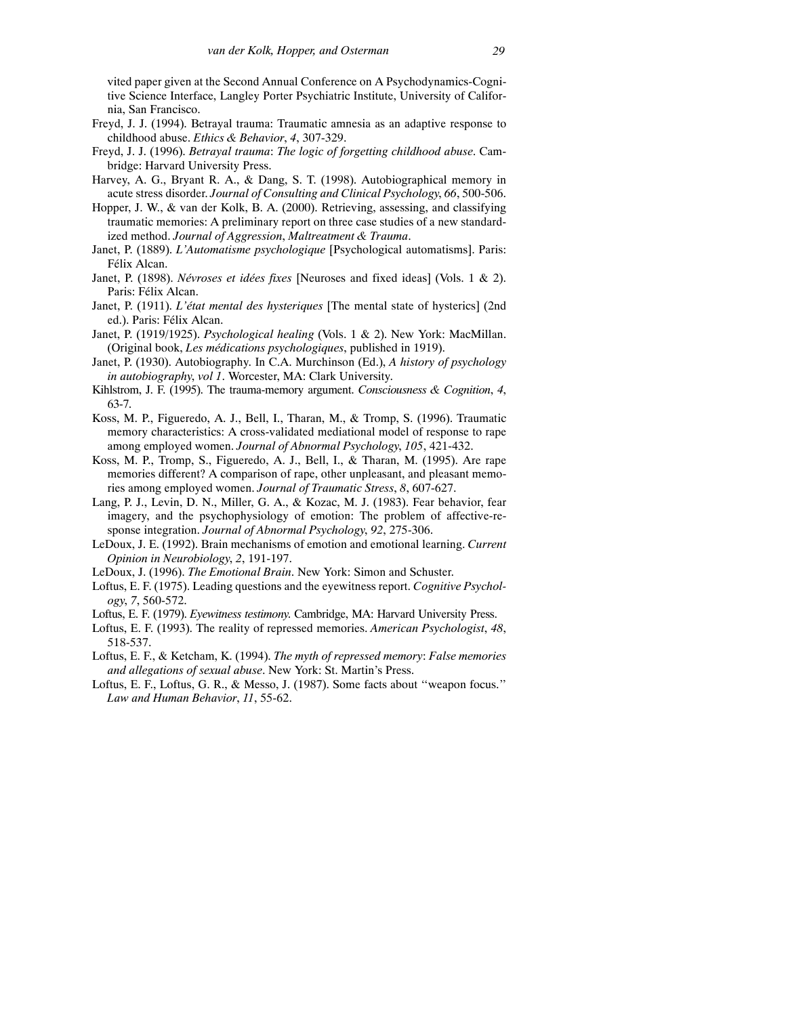vited paper given at the Second Annual Conference on A Psychodynamics-Cognitive Science Interface, Langley Porter Psychiatric Institute, University of California, San Francisco.

- Freyd, J. J. (1994). Betrayal trauma: Traumatic amnesia as an adaptive response to childhood abuse. *Ethics & Behavior*, *4*, 307-329.
- Freyd, J. J. (1996). *Betrayal trauma*: *The logic of forgetting childhood abuse*. Cambridge: Harvard University Press.
- Harvey, A. G., Bryant R. A., & Dang, S. T. (1998). Autobiographical memory in acute stress disorder. *Journal of Consulting and Clinical Psychology*, *66*, 500-506.
- Hopper, J. W., & van der Kolk, B. A. (2000). Retrieving, assessing, and classifying traumatic memories: A preliminary report on three case studies of a new standardized method. *Journal of Aggression*, *Maltreatment & Trauma*.
- Janet, P. (1889). *L'Automatisme psychologique* [Psychological automatisms]. Paris: Félix Alcan.
- Janet, P. (1898). *Névroses et idées fixes* [Neuroses and fixed ideas] (Vols. 1 & 2). Paris: Félix Alcan.
- Janet, P. (1911). *L'état mental des hysteriques* [The mental state of hysterics] (2nd ed.). Paris: Félix Alcan.
- Janet, P. (1919/1925). *Psychological healing* (Vols. 1 & 2). New York: MacMillan. (Original book, *Les médications psychologiques*, published in 1919).
- Janet, P. (1930). Autobiography. In C.A. Murchinson (Ed.), *A history of psychology in autobiography*, *vol 1*. Worcester, MA: Clark University.
- Kihlstrom, J. F. (1995). The trauma-memory argument. *Consciousness & Cognition*, *4*, 63-7.
- Koss, M. P., Figueredo, A. J., Bell, I., Tharan, M., & Tromp, S. (1996). Traumatic memory characteristics: A cross-validated mediational model of response to rape among employed women. *Journal of Abnormal Psychology*, *105*, 421-432.
- Koss, M. P., Tromp, S., Figueredo, A. J., Bell, I., & Tharan, M. (1995). Are rape memories different? A comparison of rape, other unpleasant, and pleasant memories among employed women. *Journal of Traumatic Stress*, *8*, 607-627.
- Lang, P. J., Levin, D. N., Miller, G. A., & Kozac, M. J. (1983). Fear behavior, fear imagery, and the psychophysiology of emotion: The problem of affective-response integration. *Journal of Abnormal Psychology*, *92*, 275-306.
- LeDoux, J. E. (1992). Brain mechanisms of emotion and emotional learning. *Current Opinion in Neurobiology*, *2*, 191-197.
- LeDoux, J. (1996). *The Emotional Brain*. New York: Simon and Schuster.
- Loftus, E. F. (1975). Leading questions and the eyewitness report. *Cognitive Psychology*, *7*, 560-572.
- Loftus, E. F. (1979). *Eyewitness testimony*. Cambridge, MA: Harvard University Press.
- Loftus, E. F. (1993). The reality of repressed memories. *American Psychologist*, *48*, 518-537.
- Loftus, E. F., & Ketcham, K. (1994). *The myth of repressed memory*: *False memories and allegations of sexual abuse*. New York: St. Martin's Press.
- Loftus, E. F., Loftus, G. R., & Messo, J. (1987). Some facts about ''weapon focus.'' *Law and Human Behavior*, *11*, 55-62.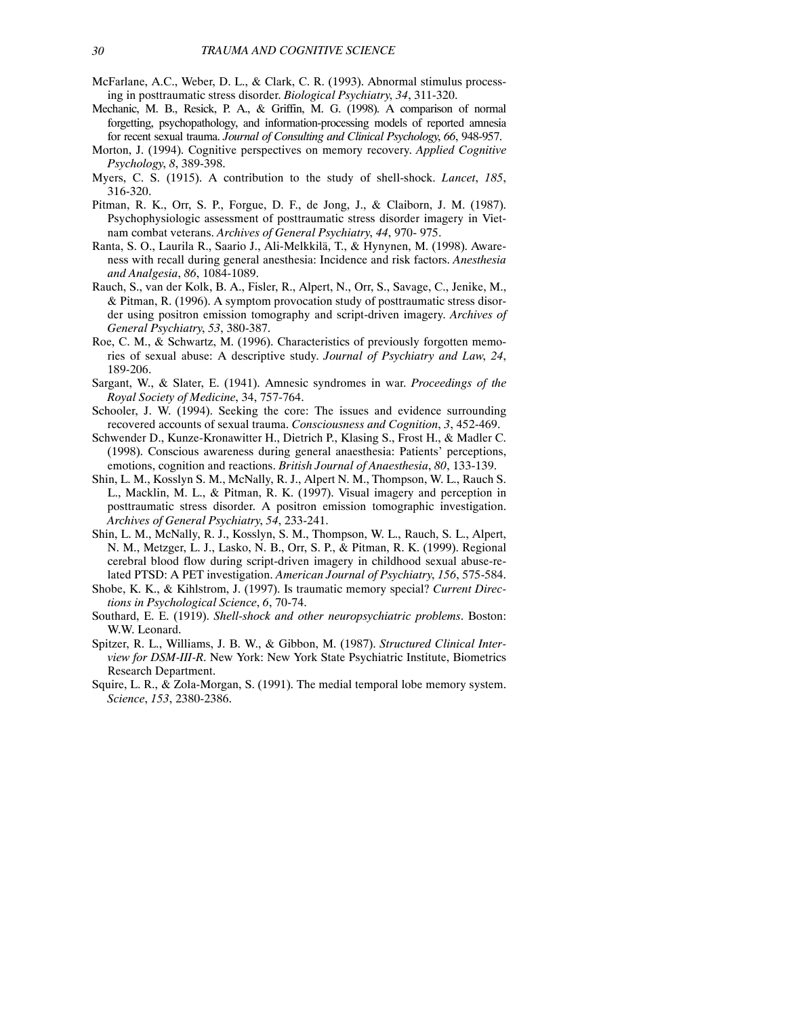- McFarlane, A.C., Weber, D. L., & Clark, C. R. (1993). Abnormal stimulus processing in posttraumatic stress disorder. *Biological Psychiatry*, *34*, 311-320.
- Mechanic, M. B., Resick, P. A., & Griffin, M. G. (1998). A comparison of normal forgetting, psychopathology, and information-processing models of reported amnesia for recent sexual trauma. *Journal of Consulting and Clinical Psychology*, *66*, 948-957.
- Morton, J. (1994). Cognitive perspectives on memory recovery. *Applied Cognitive Psychology*, *8*, 389-398.
- Myers, C. S. (1915). A contribution to the study of shell-shock. *Lancet*, *185*, 316-320.
- Pitman, R. K., Orr, S. P., Forgue, D. F., de Jong, J., & Claiborn, J. M. (1987). Psychophysiologic assessment of posttraumatic stress disorder imagery in Vietnam combat veterans. *Archives of General Psychiatry*, *44*, 970- 975.
- Ranta, S. O., Laurila R., Saario J., Ali-Melkkilä, T., & Hynynen, M. (1998). Awareness with recall during general anesthesia: Incidence and risk factors. *Anesthesia and Analgesia*, *86*, 1084-1089.
- Rauch, S., van der Kolk, B. A., Fisler, R., Alpert, N., Orr, S., Savage, C., Jenike, M., & Pitman, R. (1996). A symptom provocation study of posttraumatic stress disorder using positron emission tomography and script-driven imagery. *Archives of General Psychiatry*, *53*, 380-387.
- Roe, C. M., & Schwartz, M. (1996). Characteristics of previously forgotten memories of sexual abuse: A descriptive study. *Journal of Psychiatry and Law*, *24*, 189-206.
- Sargant, W., & Slater, E. (1941). Amnesic syndromes in war. *Proceedings of the Royal Society of Medicine*, 34, 757-764.
- Schooler, J. W. (1994). Seeking the core: The issues and evidence surrounding recovered accounts of sexual trauma. *Consciousness and Cognition*, *3*, 452-469.
- Schwender D., Kunze-Kronawitter H., Dietrich P., Klasing S., Frost H., & Madler C. (1998). Conscious awareness during general anaesthesia: Patients' perceptions, emotions, cognition and reactions. *British Journal of Anaesthesia*, *80*, 133-139.
- Shin, L. M., Kosslyn S. M., McNally, R. J., Alpert N. M., Thompson, W. L., Rauch S. L., Macklin, M. L., & Pitman, R. K. (1997). Visual imagery and perception in posttraumatic stress disorder. A positron emission tomographic investigation. *Archives of General Psychiatry*, *54*, 233-241.
- Shin, L. M., McNally, R. J., Kosslyn, S. M., Thompson, W. L., Rauch, S. L., Alpert, N. M., Metzger, L. J., Lasko, N. B., Orr, S. P., & Pitman, R. K. (1999). Regional cerebral blood flow during script-driven imagery in childhood sexual abuse-related PTSD: A PET investigation. *American Journal of Psychiatry*, *156*, 575-584.
- Shobe, K. K., & Kihlstrom, J. (1997). Is traumatic memory special? *Current Directions in Psychological Science*, *6*, 70-74.
- Southard, E. E. (1919). *Shell-shock and other neuropsychiatric problems*. Boston: W.W. Leonard.
- Spitzer, R. L., Williams, J. B. W., & Gibbon, M. (1987). *Structured Clinical Interview for DSM-III-R*. New York: New York State Psychiatric Institute, Biometrics Research Department.
- Squire, L. R., & Zola-Morgan, S. (1991). The medial temporal lobe memory system. *Science*, *153*, 2380-2386.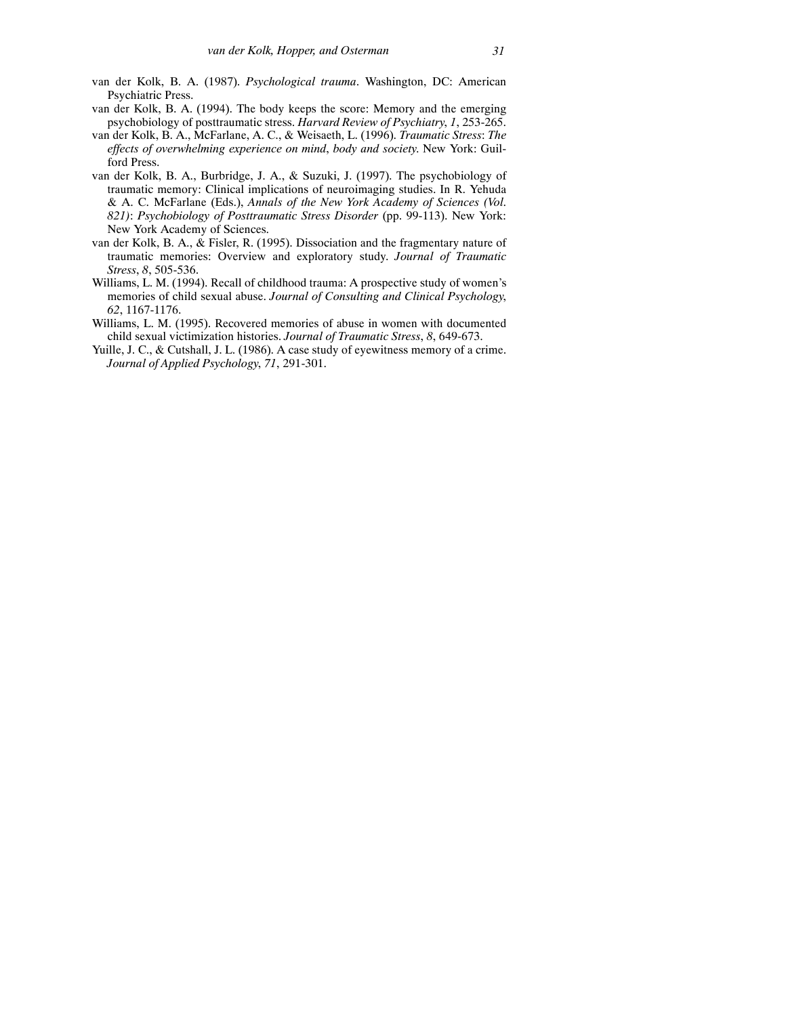- van der Kolk, B. A. (1987). *Psychological trauma*. Washington, DC: American Psychiatric Press.
- van der Kolk, B. A. (1994). The body keeps the score: Memory and the emerging psychobiology of posttraumatic stress. *Harvard Review of Psychiatry*, *1*, 253-265.
- van der Kolk, B. A., McFarlane, A. C., & Weisaeth, L. (1996). *Traumatic Stress*: *The effects of overwhelming experience on mind*, *body and society*. New York: Guilford Press.
- van der Kolk, B. A., Burbridge, J. A., & Suzuki, J. (1997). The psychobiology of traumatic memory: Clinical implications of neuroimaging studies. In R. Yehuda & A. C. McFarlane (Eds.), *Annals of the New York Academy of Sciences (Vol*. *821)*: *Psychobiology of Posttraumatic Stress Disorder* (pp. 99-113). New York: New York Academy of Sciences.
- van der Kolk, B. A., & Fisler, R. (1995). Dissociation and the fragmentary nature of traumatic memories: Overview and exploratory study. *Journal of Traumatic Stress*, *8*, 505-536.
- Williams, L. M. (1994). Recall of childhood trauma: A prospective study of women's memories of child sexual abuse. *Journal of Consulting and Clinical Psychology*, *62*, 1167-1176.
- Williams, L. M. (1995). Recovered memories of abuse in women with documented child sexual victimization histories. *Journal of Traumatic Stress*, *8*, 649-673.
- Yuille, J. C., & Cutshall, J. L. (1986). A case study of eyewitness memory of a crime. *Journal of Applied Psychology*, *71*, 291-301.